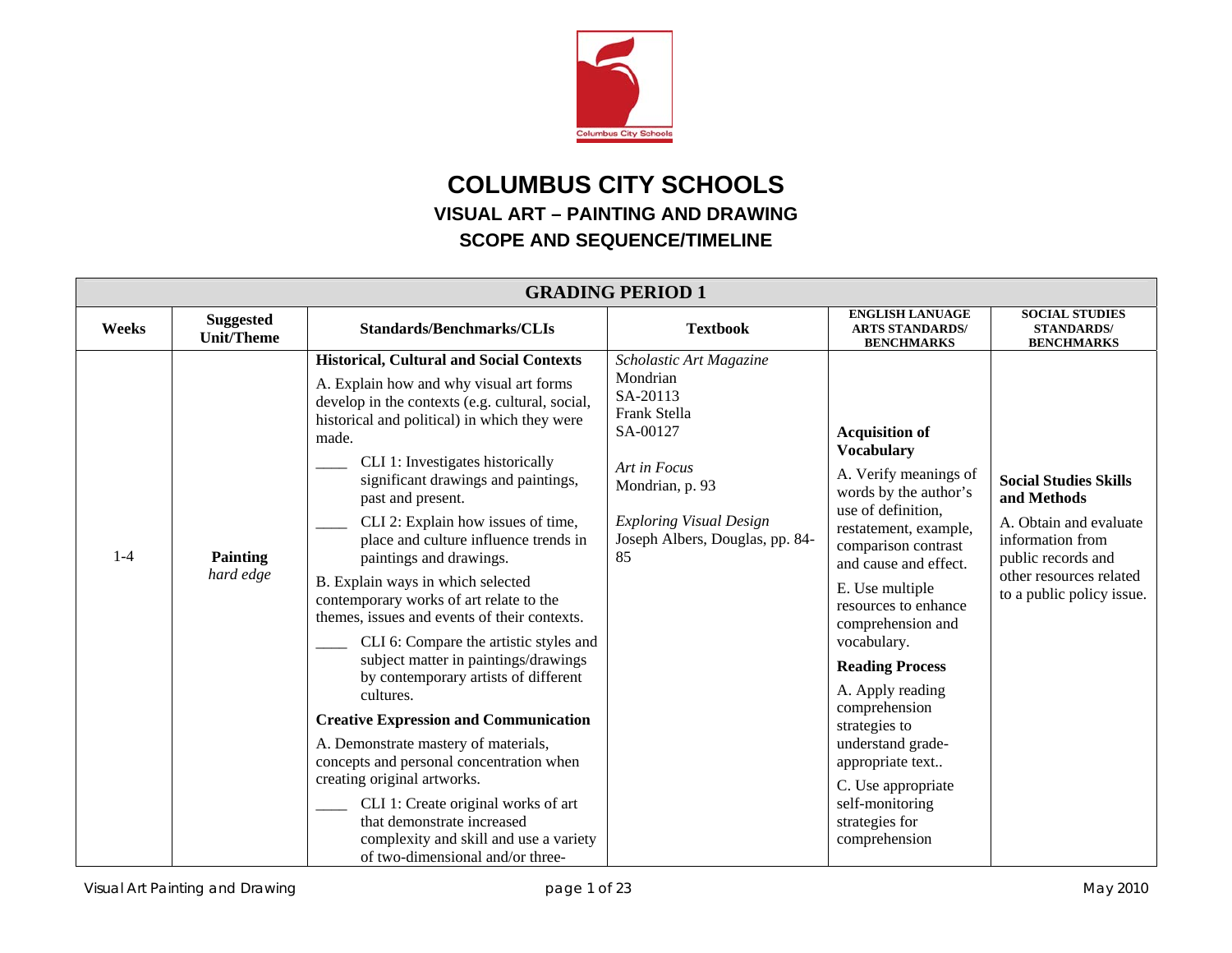

## **COLUMBUS CITY SCHOOLS VISUAL ART – PAINTING AND DRAWING SCOPE AND SEQUENCE/TIMELINE**

| <b>GRADING PERIOD 1</b> |                                       |                                                                                                                                                                                                                                                                                                                                                                                                                                                                                                                                                                                                                                                                                                                                                                                                                                                                                                                                                                                                               |                                                                                                                                                                                           |                                                                                                                                                                                                                                                                                                                                                                                                                                                                                 |                                                                                                                                                                         |  |
|-------------------------|---------------------------------------|---------------------------------------------------------------------------------------------------------------------------------------------------------------------------------------------------------------------------------------------------------------------------------------------------------------------------------------------------------------------------------------------------------------------------------------------------------------------------------------------------------------------------------------------------------------------------------------------------------------------------------------------------------------------------------------------------------------------------------------------------------------------------------------------------------------------------------------------------------------------------------------------------------------------------------------------------------------------------------------------------------------|-------------------------------------------------------------------------------------------------------------------------------------------------------------------------------------------|---------------------------------------------------------------------------------------------------------------------------------------------------------------------------------------------------------------------------------------------------------------------------------------------------------------------------------------------------------------------------------------------------------------------------------------------------------------------------------|-------------------------------------------------------------------------------------------------------------------------------------------------------------------------|--|
| Weeks                   | <b>Suggested</b><br><b>Unit/Theme</b> | <b>Standards/Benchmarks/CLIs</b>                                                                                                                                                                                                                                                                                                                                                                                                                                                                                                                                                                                                                                                                                                                                                                                                                                                                                                                                                                              | <b>Textbook</b>                                                                                                                                                                           | <b>ENGLISH LANUAGE</b><br><b>ARTS STANDARDS/</b><br><b>BENCHMARKS</b>                                                                                                                                                                                                                                                                                                                                                                                                           | <b>SOCIAL STUDIES</b><br><b>STANDARDS/</b><br><b>BENCHMARKS</b>                                                                                                         |  |
| $1 - 4$                 | <b>Painting</b><br>hard edge          | <b>Historical, Cultural and Social Contexts</b><br>A. Explain how and why visual art forms<br>develop in the contexts (e.g. cultural, social,<br>historical and political) in which they were<br>made.<br>CLI 1: Investigates historically<br>significant drawings and paintings,<br>past and present.<br>CLI 2: Explain how issues of time,<br>place and culture influence trends in<br>paintings and drawings.<br>B. Explain ways in which selected<br>contemporary works of art relate to the<br>themes, issues and events of their contexts.<br>CLI 6: Compare the artistic styles and<br>subject matter in paintings/drawings<br>by contemporary artists of different<br>cultures.<br><b>Creative Expression and Communication</b><br>A. Demonstrate mastery of materials,<br>concepts and personal concentration when<br>creating original artworks.<br>CLI 1: Create original works of art<br>that demonstrate increased<br>complexity and skill and use a variety<br>of two-dimensional and/or three- | Scholastic Art Magazine<br>Mondrian<br>SA-20113<br>Frank Stella<br>SA-00127<br>Art in Focus<br>Mondrian, p. 93<br><b>Exploring Visual Design</b><br>Joseph Albers, Douglas, pp. 84-<br>85 | <b>Acquisition of</b><br><b>Vocabulary</b><br>A. Verify meanings of<br>words by the author's<br>use of definition,<br>restatement, example,<br>comparison contrast<br>and cause and effect.<br>E. Use multiple<br>resources to enhance<br>comprehension and<br>vocabulary.<br><b>Reading Process</b><br>A. Apply reading<br>comprehension<br>strategies to<br>understand grade-<br>appropriate text<br>C. Use appropriate<br>self-monitoring<br>strategies for<br>comprehension | <b>Social Studies Skills</b><br>and Methods<br>A. Obtain and evaluate<br>information from<br>public records and<br>other resources related<br>to a public policy issue. |  |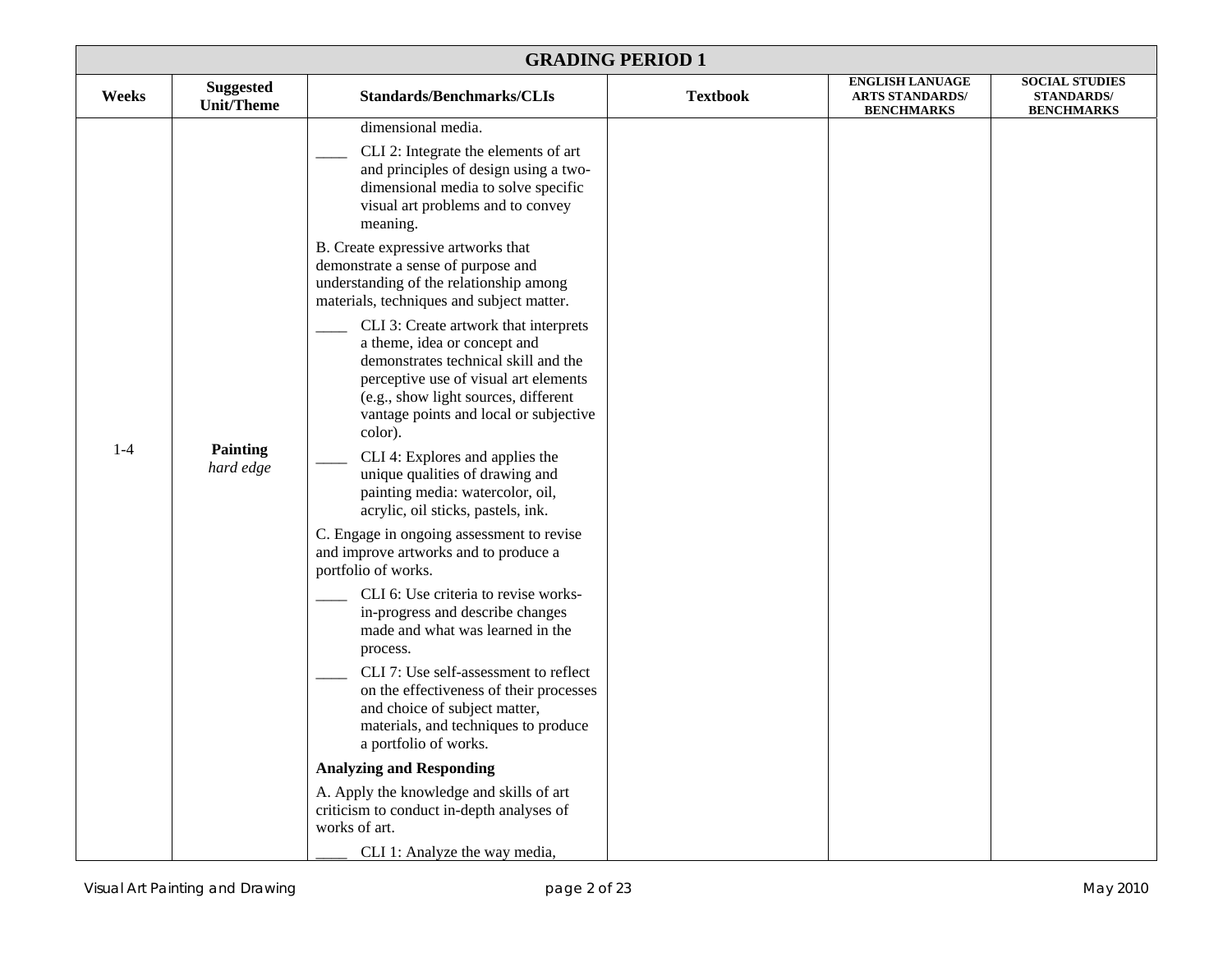| <b>GRADING PERIOD 1</b>                        |                                                                                                                                                                                                                                                                                                                                                                                                                                                                                                                                                                                                                                                                                                                                                                                                                                                                                                                                                                                                                                                                                                                                                                                                                                                                                                                                                                                     |                 |                                                                       |                                                                 |  |
|------------------------------------------------|-------------------------------------------------------------------------------------------------------------------------------------------------------------------------------------------------------------------------------------------------------------------------------------------------------------------------------------------------------------------------------------------------------------------------------------------------------------------------------------------------------------------------------------------------------------------------------------------------------------------------------------------------------------------------------------------------------------------------------------------------------------------------------------------------------------------------------------------------------------------------------------------------------------------------------------------------------------------------------------------------------------------------------------------------------------------------------------------------------------------------------------------------------------------------------------------------------------------------------------------------------------------------------------------------------------------------------------------------------------------------------------|-----------------|-----------------------------------------------------------------------|-----------------------------------------------------------------|--|
| <b>Suggested</b><br>Weeks<br><b>Unit/Theme</b> | <b>Standards/Benchmarks/CLIs</b>                                                                                                                                                                                                                                                                                                                                                                                                                                                                                                                                                                                                                                                                                                                                                                                                                                                                                                                                                                                                                                                                                                                                                                                                                                                                                                                                                    | <b>Textbook</b> | <b>ENGLISH LANUAGE</b><br><b>ARTS STANDARDS/</b><br><b>BENCHMARKS</b> | <b>SOCIAL STUDIES</b><br><b>STANDARDS/</b><br><b>BENCHMARKS</b> |  |
| $1-4$<br><b>Painting</b><br>hard edge          | dimensional media.<br>CLI 2: Integrate the elements of art<br>and principles of design using a two-<br>dimensional media to solve specific<br>visual art problems and to convey<br>meaning.<br>B. Create expressive artworks that<br>demonstrate a sense of purpose and<br>understanding of the relationship among<br>materials, techniques and subject matter.<br>CLI 3: Create artwork that interprets<br>a theme, idea or concept and<br>demonstrates technical skill and the<br>perceptive use of visual art elements<br>(e.g., show light sources, different<br>vantage points and local or subjective<br>color).<br>CLI 4: Explores and applies the<br>unique qualities of drawing and<br>painting media: watercolor, oil,<br>acrylic, oil sticks, pastels, ink.<br>C. Engage in ongoing assessment to revise<br>and improve artworks and to produce a<br>portfolio of works.<br>CLI 6: Use criteria to revise works-<br>in-progress and describe changes<br>made and what was learned in the<br>process.<br>CLI 7: Use self-assessment to reflect<br>on the effectiveness of their processes<br>and choice of subject matter,<br>materials, and techniques to produce<br>a portfolio of works.<br><b>Analyzing and Responding</b><br>A. Apply the knowledge and skills of art<br>criticism to conduct in-depth analyses of<br>works of art.<br>CLI 1: Analyze the way media, |                 |                                                                       |                                                                 |  |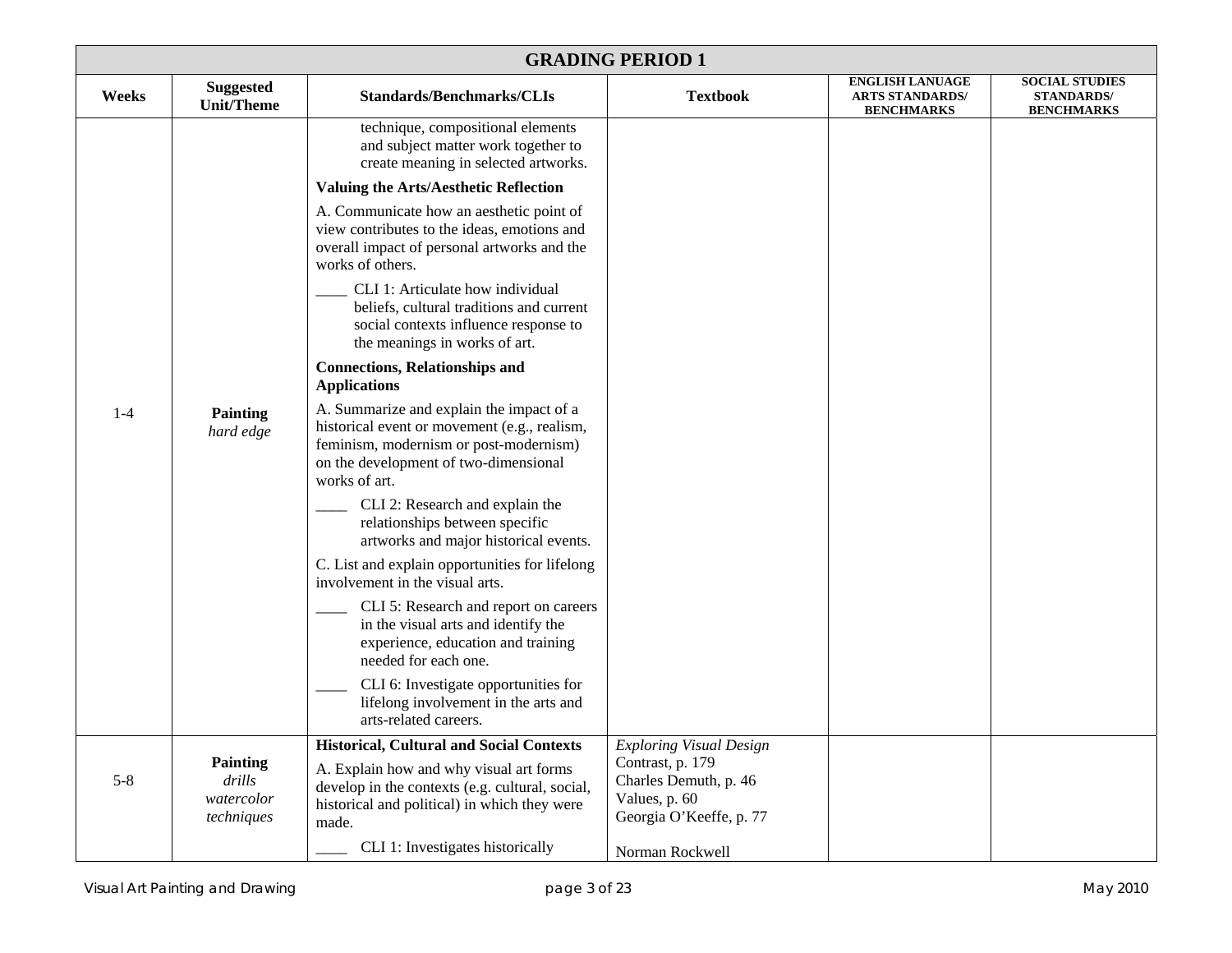| <b>GRADING PERIOD 1</b> |                                                       |                                                                                                                                                                                                                                                                                                                                                                                                                                                                                                                                                                                                                                                                                                                                                                                                                                                                                                                                                                                                                                                                                   |                                                                                                                                            |                                                                       |                                                                 |  |
|-------------------------|-------------------------------------------------------|-----------------------------------------------------------------------------------------------------------------------------------------------------------------------------------------------------------------------------------------------------------------------------------------------------------------------------------------------------------------------------------------------------------------------------------------------------------------------------------------------------------------------------------------------------------------------------------------------------------------------------------------------------------------------------------------------------------------------------------------------------------------------------------------------------------------------------------------------------------------------------------------------------------------------------------------------------------------------------------------------------------------------------------------------------------------------------------|--------------------------------------------------------------------------------------------------------------------------------------------|-----------------------------------------------------------------------|-----------------------------------------------------------------|--|
| Weeks                   | <b>Suggested</b><br><b>Unit/Theme</b>                 | <b>Standards/Benchmarks/CLIs</b>                                                                                                                                                                                                                                                                                                                                                                                                                                                                                                                                                                                                                                                                                                                                                                                                                                                                                                                                                                                                                                                  | <b>Textbook</b>                                                                                                                            | <b>ENGLISH LANUAGE</b><br><b>ARTS STANDARDS/</b><br><b>BENCHMARKS</b> | <b>SOCIAL STUDIES</b><br><b>STANDARDS/</b><br><b>BENCHMARKS</b> |  |
| $1 - 4$                 | <b>Painting</b><br>hard edge                          | technique, compositional elements<br>and subject matter work together to<br>create meaning in selected artworks.<br><b>Valuing the Arts/Aesthetic Reflection</b><br>A. Communicate how an aesthetic point of<br>view contributes to the ideas, emotions and<br>overall impact of personal artworks and the<br>works of others.<br>CLI 1: Articulate how individual<br>beliefs, cultural traditions and current<br>social contexts influence response to<br>the meanings in works of art.<br><b>Connections, Relationships and</b><br><b>Applications</b><br>A. Summarize and explain the impact of a<br>historical event or movement (e.g., realism,<br>feminism, modernism or post-modernism)<br>on the development of two-dimensional<br>works of art.<br>CLI 2: Research and explain the<br>relationships between specific<br>artworks and major historical events.<br>C. List and explain opportunities for lifelong<br>involvement in the visual arts.<br>CLI 5: Research and report on careers<br>in the visual arts and identify the<br>experience, education and training |                                                                                                                                            |                                                                       |                                                                 |  |
|                         |                                                       | needed for each one.<br>CLI 6: Investigate opportunities for<br>lifelong involvement in the arts and<br>arts-related careers.                                                                                                                                                                                                                                                                                                                                                                                                                                                                                                                                                                                                                                                                                                                                                                                                                                                                                                                                                     |                                                                                                                                            |                                                                       |                                                                 |  |
| $5 - 8$                 | <b>Painting</b><br>drills<br>watercolor<br>techniques | <b>Historical, Cultural and Social Contexts</b><br>A. Explain how and why visual art forms<br>develop in the contexts (e.g. cultural, social,<br>historical and political) in which they were<br>made.<br>CLI 1: Investigates historically                                                                                                                                                                                                                                                                                                                                                                                                                                                                                                                                                                                                                                                                                                                                                                                                                                        | <b>Exploring Visual Design</b><br>Contrast, p. 179<br>Charles Demuth, p. 46<br>Values, p. 60<br>Georgia O'Keeffe, p. 77<br>Norman Rockwell |                                                                       |                                                                 |  |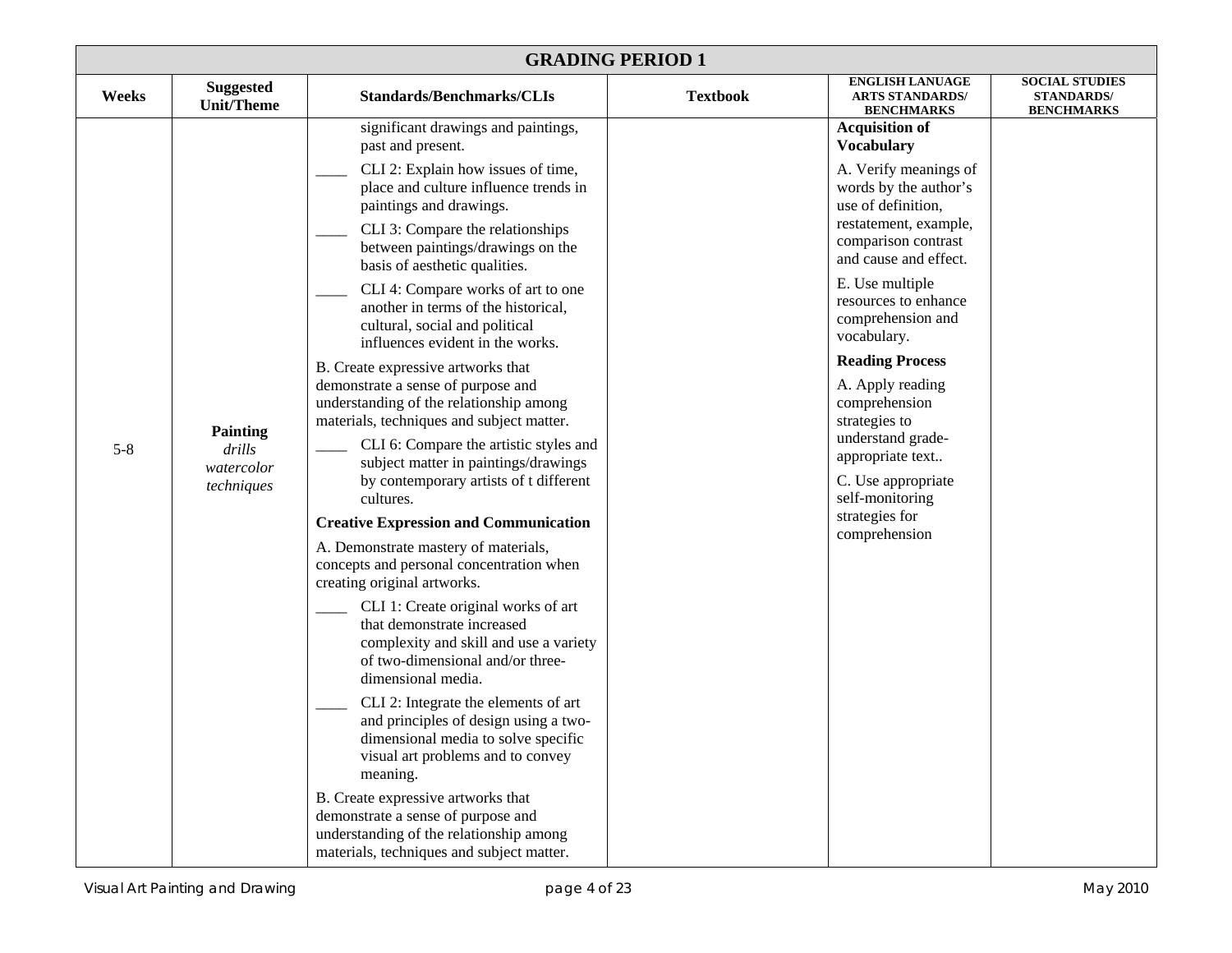| <b>GRADING PERIOD 1</b> |                                                       |                                                                                                                                                                                                                                                                                                                                                                                                                                                                                                                                                                                                                                                                                                                                                                                                                                                                                                                                                                                                                                                                                                                                                                                                                                                                                                                                                                                                                                       |                 |                                                                                                                                                                                                                                                                                                                                                                                                                                                                                 |                                                                 |  |
|-------------------------|-------------------------------------------------------|---------------------------------------------------------------------------------------------------------------------------------------------------------------------------------------------------------------------------------------------------------------------------------------------------------------------------------------------------------------------------------------------------------------------------------------------------------------------------------------------------------------------------------------------------------------------------------------------------------------------------------------------------------------------------------------------------------------------------------------------------------------------------------------------------------------------------------------------------------------------------------------------------------------------------------------------------------------------------------------------------------------------------------------------------------------------------------------------------------------------------------------------------------------------------------------------------------------------------------------------------------------------------------------------------------------------------------------------------------------------------------------------------------------------------------------|-----------------|---------------------------------------------------------------------------------------------------------------------------------------------------------------------------------------------------------------------------------------------------------------------------------------------------------------------------------------------------------------------------------------------------------------------------------------------------------------------------------|-----------------------------------------------------------------|--|
| Weeks                   | <b>Suggested</b><br><b>Unit/Theme</b>                 | <b>Standards/Benchmarks/CLIs</b>                                                                                                                                                                                                                                                                                                                                                                                                                                                                                                                                                                                                                                                                                                                                                                                                                                                                                                                                                                                                                                                                                                                                                                                                                                                                                                                                                                                                      | <b>Textbook</b> | <b>ENGLISH LANUAGE</b><br><b>ARTS STANDARDS/</b><br><b>BENCHMARKS</b>                                                                                                                                                                                                                                                                                                                                                                                                           | <b>SOCIAL STUDIES</b><br><b>STANDARDS/</b><br><b>BENCHMARKS</b> |  |
| $5 - 8$                 | <b>Painting</b><br>drills<br>watercolor<br>techniques | significant drawings and paintings,<br>past and present.<br>CLI 2: Explain how issues of time,<br>place and culture influence trends in<br>paintings and drawings.<br>CLI 3: Compare the relationships<br>between paintings/drawings on the<br>basis of aesthetic qualities.<br>CLI 4: Compare works of art to one<br>another in terms of the historical,<br>cultural, social and political<br>influences evident in the works.<br>B. Create expressive artworks that<br>demonstrate a sense of purpose and<br>understanding of the relationship among<br>materials, techniques and subject matter.<br>CLI 6: Compare the artistic styles and<br>subject matter in paintings/drawings<br>by contemporary artists of t different<br>cultures.<br><b>Creative Expression and Communication</b><br>A. Demonstrate mastery of materials,<br>concepts and personal concentration when<br>creating original artworks.<br>CLI 1: Create original works of art<br>that demonstrate increased<br>complexity and skill and use a variety<br>of two-dimensional and/or three-<br>dimensional media.<br>CLI 2: Integrate the elements of art<br>and principles of design using a two-<br>dimensional media to solve specific<br>visual art problems and to convey<br>meaning.<br>B. Create expressive artworks that<br>demonstrate a sense of purpose and<br>understanding of the relationship among<br>materials, techniques and subject matter. |                 | <b>Acquisition of</b><br><b>Vocabulary</b><br>A. Verify meanings of<br>words by the author's<br>use of definition,<br>restatement, example,<br>comparison contrast<br>and cause and effect.<br>E. Use multiple<br>resources to enhance<br>comprehension and<br>vocabulary.<br><b>Reading Process</b><br>A. Apply reading<br>comprehension<br>strategies to<br>understand grade-<br>appropriate text<br>C. Use appropriate<br>self-monitoring<br>strategies for<br>comprehension |                                                                 |  |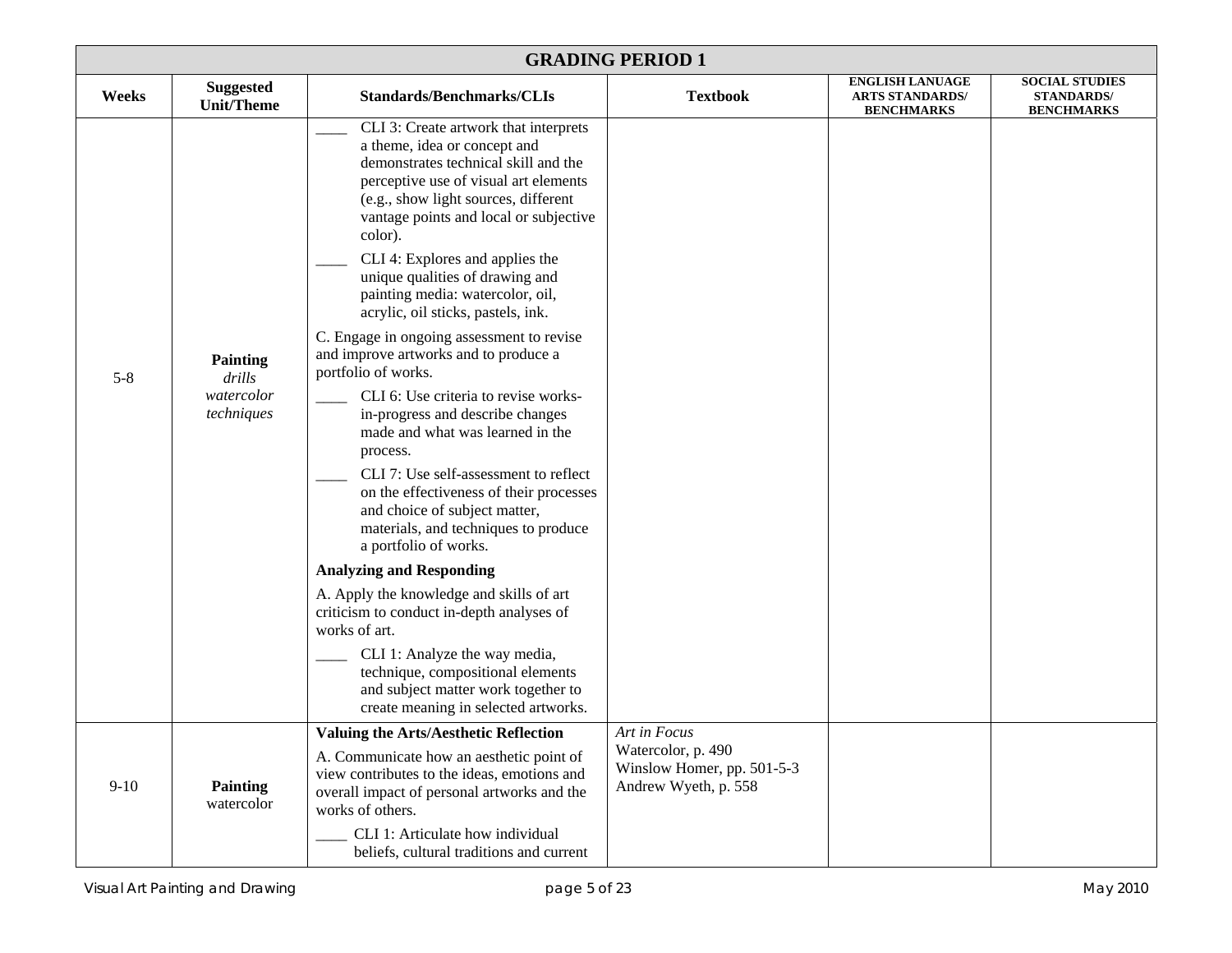| <b>GRADING PERIOD 1</b> |                                                       |                                                                                                                                                                                                                                                                                                                                                                                                                                                                                                                                                                                                                                                                                                                                                                                                                                    |                                                                                          |                                                                       |                                                                 |  |
|-------------------------|-------------------------------------------------------|------------------------------------------------------------------------------------------------------------------------------------------------------------------------------------------------------------------------------------------------------------------------------------------------------------------------------------------------------------------------------------------------------------------------------------------------------------------------------------------------------------------------------------------------------------------------------------------------------------------------------------------------------------------------------------------------------------------------------------------------------------------------------------------------------------------------------------|------------------------------------------------------------------------------------------|-----------------------------------------------------------------------|-----------------------------------------------------------------|--|
| Weeks                   | <b>Suggested</b><br><b>Unit/Theme</b>                 | Standards/Benchmarks/CLIs                                                                                                                                                                                                                                                                                                                                                                                                                                                                                                                                                                                                                                                                                                                                                                                                          | <b>Textbook</b>                                                                          | <b>ENGLISH LANUAGE</b><br><b>ARTS STANDARDS/</b><br><b>BENCHMARKS</b> | <b>SOCIAL STUDIES</b><br><b>STANDARDS/</b><br><b>BENCHMARKS</b> |  |
| $5 - 8$                 | <b>Painting</b><br>drills<br>watercolor<br>techniques | CLI 3: Create artwork that interprets<br>a theme, idea or concept and<br>demonstrates technical skill and the<br>perceptive use of visual art elements<br>(e.g., show light sources, different<br>vantage points and local or subjective<br>color).<br>CLI 4: Explores and applies the<br>unique qualities of drawing and<br>painting media: watercolor, oil,<br>acrylic, oil sticks, pastels, ink.<br>C. Engage in ongoing assessment to revise<br>and improve artworks and to produce a<br>portfolio of works.<br>CLI 6: Use criteria to revise works-<br>in-progress and describe changes<br>made and what was learned in the<br>process.<br>CLI 7: Use self-assessment to reflect<br>on the effectiveness of their processes<br>and choice of subject matter,<br>materials, and techniques to produce<br>a portfolio of works. |                                                                                          |                                                                       |                                                                 |  |
|                         |                                                       | <b>Analyzing and Responding</b>                                                                                                                                                                                                                                                                                                                                                                                                                                                                                                                                                                                                                                                                                                                                                                                                    |                                                                                          |                                                                       |                                                                 |  |
|                         |                                                       | A. Apply the knowledge and skills of art<br>criticism to conduct in-depth analyses of<br>works of art.<br>CLI 1: Analyze the way media,<br>technique, compositional elements<br>and subject matter work together to<br>create meaning in selected artworks.                                                                                                                                                                                                                                                                                                                                                                                                                                                                                                                                                                        |                                                                                          |                                                                       |                                                                 |  |
| $9-10$                  | <b>Painting</b><br>watercolor                         | <b>Valuing the Arts/Aesthetic Reflection</b><br>A. Communicate how an aesthetic point of<br>view contributes to the ideas, emotions and<br>overall impact of personal artworks and the<br>works of others.<br>CLI 1: Articulate how individual<br>beliefs, cultural traditions and current                                                                                                                                                                                                                                                                                                                                                                                                                                                                                                                                         | Art in Focus<br>Watercolor, p. 490<br>Winslow Homer, pp. 501-5-3<br>Andrew Wyeth, p. 558 |                                                                       |                                                                 |  |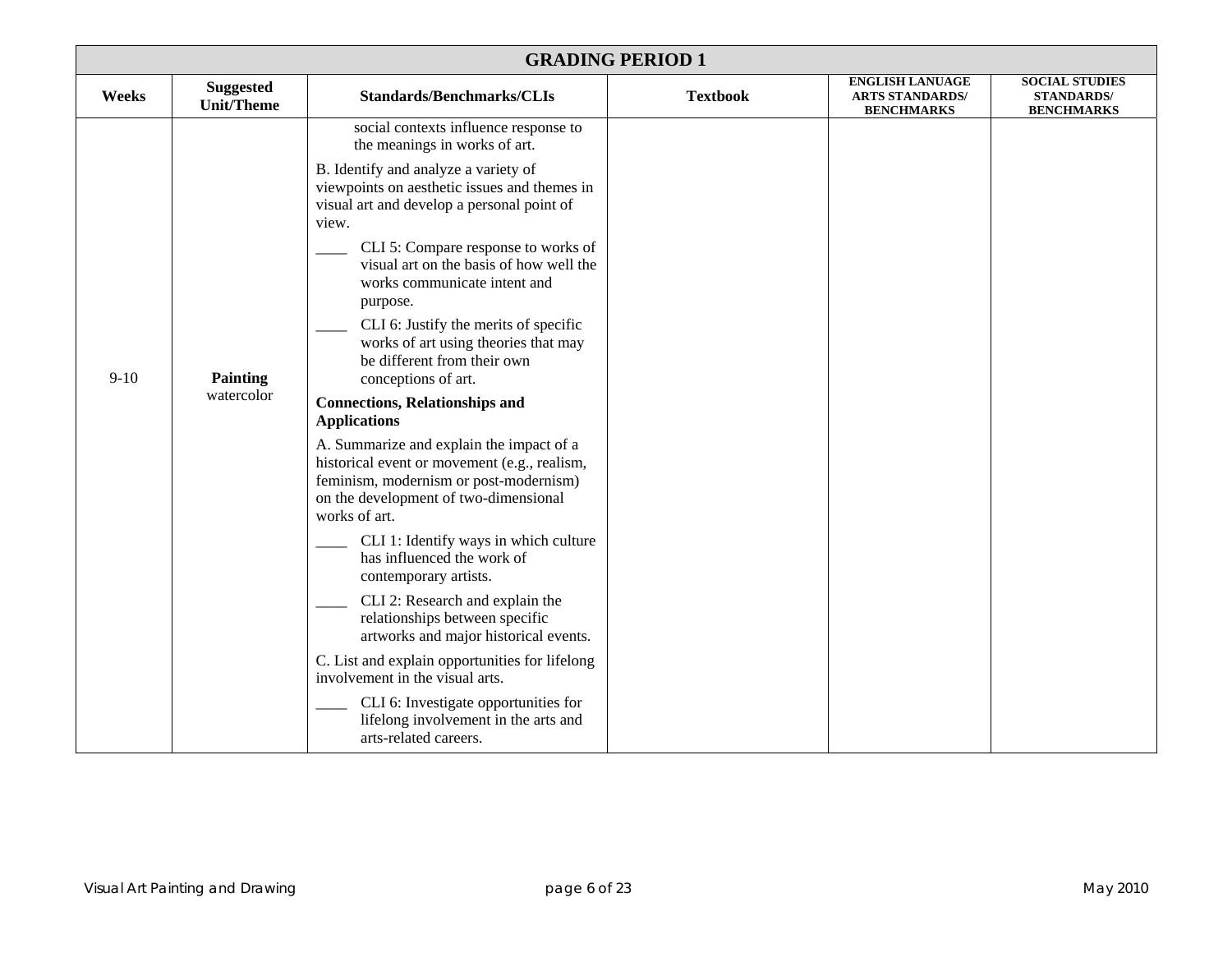| <b>GRADING PERIOD 1</b> |                                       |                                                                                                                                                                                                                                                                                                                                                                                                                                                                                                                                                                                                                                                                                                                                                                                                                                                                                                                                                                                                                                                                                                                                                                        |                 |                                                                       |                                                                 |
|-------------------------|---------------------------------------|------------------------------------------------------------------------------------------------------------------------------------------------------------------------------------------------------------------------------------------------------------------------------------------------------------------------------------------------------------------------------------------------------------------------------------------------------------------------------------------------------------------------------------------------------------------------------------------------------------------------------------------------------------------------------------------------------------------------------------------------------------------------------------------------------------------------------------------------------------------------------------------------------------------------------------------------------------------------------------------------------------------------------------------------------------------------------------------------------------------------------------------------------------------------|-----------------|-----------------------------------------------------------------------|-----------------------------------------------------------------|
| Weeks                   | <b>Suggested</b><br><b>Unit/Theme</b> | <b>Standards/Benchmarks/CLIs</b>                                                                                                                                                                                                                                                                                                                                                                                                                                                                                                                                                                                                                                                                                                                                                                                                                                                                                                                                                                                                                                                                                                                                       | <b>Textbook</b> | <b>ENGLISH LANUAGE</b><br><b>ARTS STANDARDS/</b><br><b>BENCHMARKS</b> | <b>SOCIAL STUDIES</b><br><b>STANDARDS/</b><br><b>BENCHMARKS</b> |
| $9-10$                  | <b>Painting</b><br>watercolor         | social contexts influence response to<br>the meanings in works of art.<br>B. Identify and analyze a variety of<br>viewpoints on aesthetic issues and themes in<br>visual art and develop a personal point of<br>view.<br>CLI 5: Compare response to works of<br>visual art on the basis of how well the<br>works communicate intent and<br>purpose.<br>CLI 6: Justify the merits of specific<br>works of art using theories that may<br>be different from their own<br>conceptions of art.<br><b>Connections, Relationships and</b><br><b>Applications</b><br>A. Summarize and explain the impact of a<br>historical event or movement (e.g., realism,<br>feminism, modernism or post-modernism)<br>on the development of two-dimensional<br>works of art.<br>CLI 1: Identify ways in which culture<br>has influenced the work of<br>contemporary artists.<br>CLI 2: Research and explain the<br>relationships between specific<br>artworks and major historical events.<br>C. List and explain opportunities for lifelong<br>involvement in the visual arts.<br>CLI 6: Investigate opportunities for<br>lifelong involvement in the arts and<br>arts-related careers. |                 |                                                                       |                                                                 |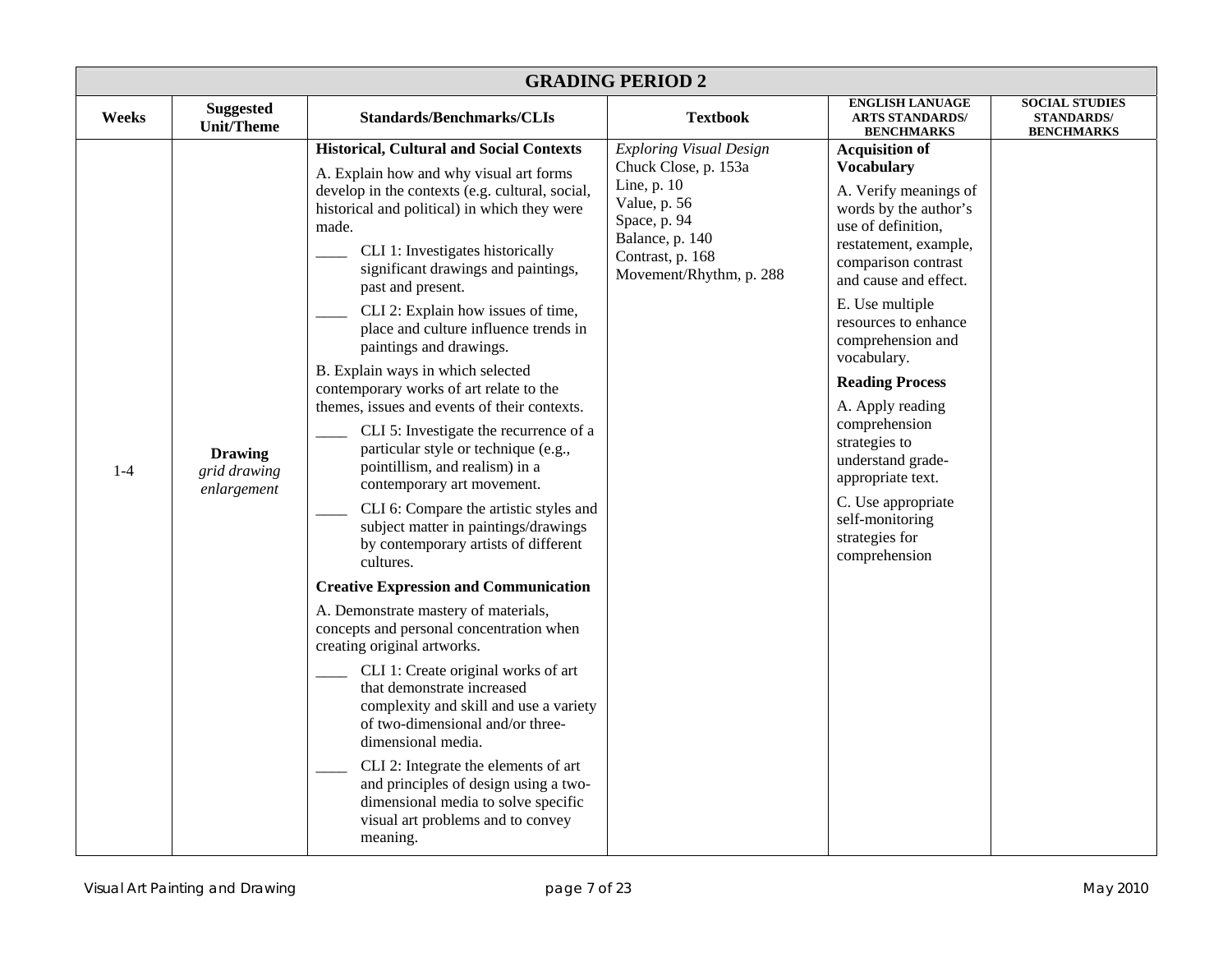| <b>GRADING PERIOD 2</b> |                                               |                                                                                                                                                                                                                                                                                                                                                                                                                                                                                                                                                                                                                                                                                                                                                                                                                                                                                                                                                                                                                                                                                                                                                                                                                                                                                                                                                                |                                                                                                                                                                         |                                                                                                                                                                                                                                                                                                                                                                                                                                                                                  |                                                                 |  |
|-------------------------|-----------------------------------------------|----------------------------------------------------------------------------------------------------------------------------------------------------------------------------------------------------------------------------------------------------------------------------------------------------------------------------------------------------------------------------------------------------------------------------------------------------------------------------------------------------------------------------------------------------------------------------------------------------------------------------------------------------------------------------------------------------------------------------------------------------------------------------------------------------------------------------------------------------------------------------------------------------------------------------------------------------------------------------------------------------------------------------------------------------------------------------------------------------------------------------------------------------------------------------------------------------------------------------------------------------------------------------------------------------------------------------------------------------------------|-------------------------------------------------------------------------------------------------------------------------------------------------------------------------|----------------------------------------------------------------------------------------------------------------------------------------------------------------------------------------------------------------------------------------------------------------------------------------------------------------------------------------------------------------------------------------------------------------------------------------------------------------------------------|-----------------------------------------------------------------|--|
| Weeks                   | <b>Suggested</b><br><b>Unit/Theme</b>         | <b>Standards/Benchmarks/CLIs</b>                                                                                                                                                                                                                                                                                                                                                                                                                                                                                                                                                                                                                                                                                                                                                                                                                                                                                                                                                                                                                                                                                                                                                                                                                                                                                                                               | <b>Textbook</b>                                                                                                                                                         | <b>ENGLISH LANUAGE</b><br><b>ARTS STANDARDS/</b><br><b>BENCHMARKS</b>                                                                                                                                                                                                                                                                                                                                                                                                            | <b>SOCIAL STUDIES</b><br><b>STANDARDS/</b><br><b>BENCHMARKS</b> |  |
| $1-4$                   | <b>Drawing</b><br>grid drawing<br>enlargement | <b>Historical, Cultural and Social Contexts</b><br>A. Explain how and why visual art forms<br>develop in the contexts (e.g. cultural, social,<br>historical and political) in which they were<br>made.<br>CLI 1: Investigates historically<br>significant drawings and paintings,<br>past and present.<br>CLI 2: Explain how issues of time,<br>place and culture influence trends in<br>paintings and drawings.<br>B. Explain ways in which selected<br>contemporary works of art relate to the<br>themes, issues and events of their contexts.<br>CLI 5: Investigate the recurrence of a<br>particular style or technique (e.g.,<br>pointillism, and realism) in a<br>contemporary art movement.<br>CLI 6: Compare the artistic styles and<br>subject matter in paintings/drawings<br>by contemporary artists of different<br>cultures.<br><b>Creative Expression and Communication</b><br>A. Demonstrate mastery of materials,<br>concepts and personal concentration when<br>creating original artworks.<br>CLI 1: Create original works of art<br>that demonstrate increased<br>complexity and skill and use a variety<br>of two-dimensional and/or three-<br>dimensional media.<br>CLI 2: Integrate the elements of art<br>and principles of design using a two-<br>dimensional media to solve specific<br>visual art problems and to convey<br>meaning. | <b>Exploring Visual Design</b><br>Chuck Close, p. 153a<br>Line, p. 10<br>Value, p. 56<br>Space, p. 94<br>Balance, p. 140<br>Contrast, p. 168<br>Movement/Rhythm, p. 288 | <b>Acquisition of</b><br><b>Vocabulary</b><br>A. Verify meanings of<br>words by the author's<br>use of definition,<br>restatement, example,<br>comparison contrast<br>and cause and effect.<br>E. Use multiple<br>resources to enhance<br>comprehension and<br>vocabulary.<br><b>Reading Process</b><br>A. Apply reading<br>comprehension<br>strategies to<br>understand grade-<br>appropriate text.<br>C. Use appropriate<br>self-monitoring<br>strategies for<br>comprehension |                                                                 |  |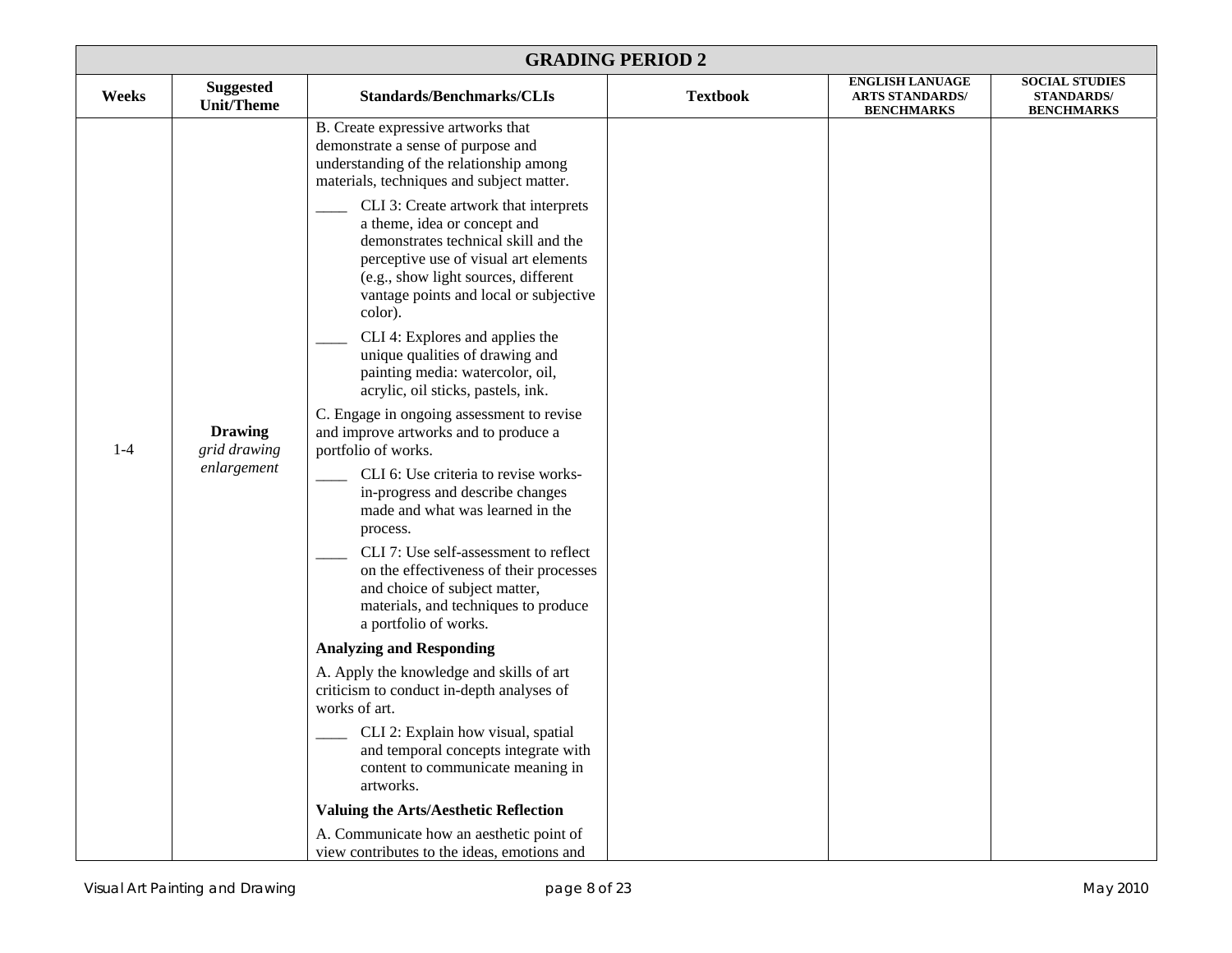| <b>GRADING PERIOD 2</b> |                                               |                                                                                                                                                                                                                                                                                                                                                                                                                                                                                                                                                                                                                                                                                                                                                                                                                                                                                                                                                                                                                                                                                                                                                                                           |                 |                                                                       |                                                                 |
|-------------------------|-----------------------------------------------|-------------------------------------------------------------------------------------------------------------------------------------------------------------------------------------------------------------------------------------------------------------------------------------------------------------------------------------------------------------------------------------------------------------------------------------------------------------------------------------------------------------------------------------------------------------------------------------------------------------------------------------------------------------------------------------------------------------------------------------------------------------------------------------------------------------------------------------------------------------------------------------------------------------------------------------------------------------------------------------------------------------------------------------------------------------------------------------------------------------------------------------------------------------------------------------------|-----------------|-----------------------------------------------------------------------|-----------------------------------------------------------------|
| Weeks                   | <b>Suggested</b><br><b>Unit/Theme</b>         | <b>Standards/Benchmarks/CLIs</b>                                                                                                                                                                                                                                                                                                                                                                                                                                                                                                                                                                                                                                                                                                                                                                                                                                                                                                                                                                                                                                                                                                                                                          | <b>Textbook</b> | <b>ENGLISH LANUAGE</b><br><b>ARTS STANDARDS/</b><br><b>BENCHMARKS</b> | <b>SOCIAL STUDIES</b><br><b>STANDARDS/</b><br><b>BENCHMARKS</b> |
| $1-4$                   | <b>Drawing</b><br>grid drawing<br>enlargement | B. Create expressive artworks that<br>demonstrate a sense of purpose and<br>understanding of the relationship among<br>materials, techniques and subject matter.<br>CLI 3: Create artwork that interprets<br>a theme, idea or concept and<br>demonstrates technical skill and the<br>perceptive use of visual art elements<br>(e.g., show light sources, different<br>vantage points and local or subjective<br>color).<br>CLI 4: Explores and applies the<br>unique qualities of drawing and<br>painting media: watercolor, oil,<br>acrylic, oil sticks, pastels, ink.<br>C. Engage in ongoing assessment to revise<br>and improve artworks and to produce a<br>portfolio of works.<br>CLI 6: Use criteria to revise works-<br>in-progress and describe changes<br>made and what was learned in the<br>process.<br>CLI 7: Use self-assessment to reflect<br>on the effectiveness of their processes<br>and choice of subject matter,<br>materials, and techniques to produce<br>a portfolio of works.<br><b>Analyzing and Responding</b><br>A. Apply the knowledge and skills of art<br>criticism to conduct in-depth analyses of<br>works of art.<br>CLI 2: Explain how visual, spatial |                 |                                                                       |                                                                 |
|                         |                                               | and temporal concepts integrate with<br>content to communicate meaning in<br>artworks.                                                                                                                                                                                                                                                                                                                                                                                                                                                                                                                                                                                                                                                                                                                                                                                                                                                                                                                                                                                                                                                                                                    |                 |                                                                       |                                                                 |
|                         |                                               | <b>Valuing the Arts/Aesthetic Reflection</b>                                                                                                                                                                                                                                                                                                                                                                                                                                                                                                                                                                                                                                                                                                                                                                                                                                                                                                                                                                                                                                                                                                                                              |                 |                                                                       |                                                                 |
|                         |                                               | A. Communicate how an aesthetic point of<br>view contributes to the ideas, emotions and                                                                                                                                                                                                                                                                                                                                                                                                                                                                                                                                                                                                                                                                                                                                                                                                                                                                                                                                                                                                                                                                                                   |                 |                                                                       |                                                                 |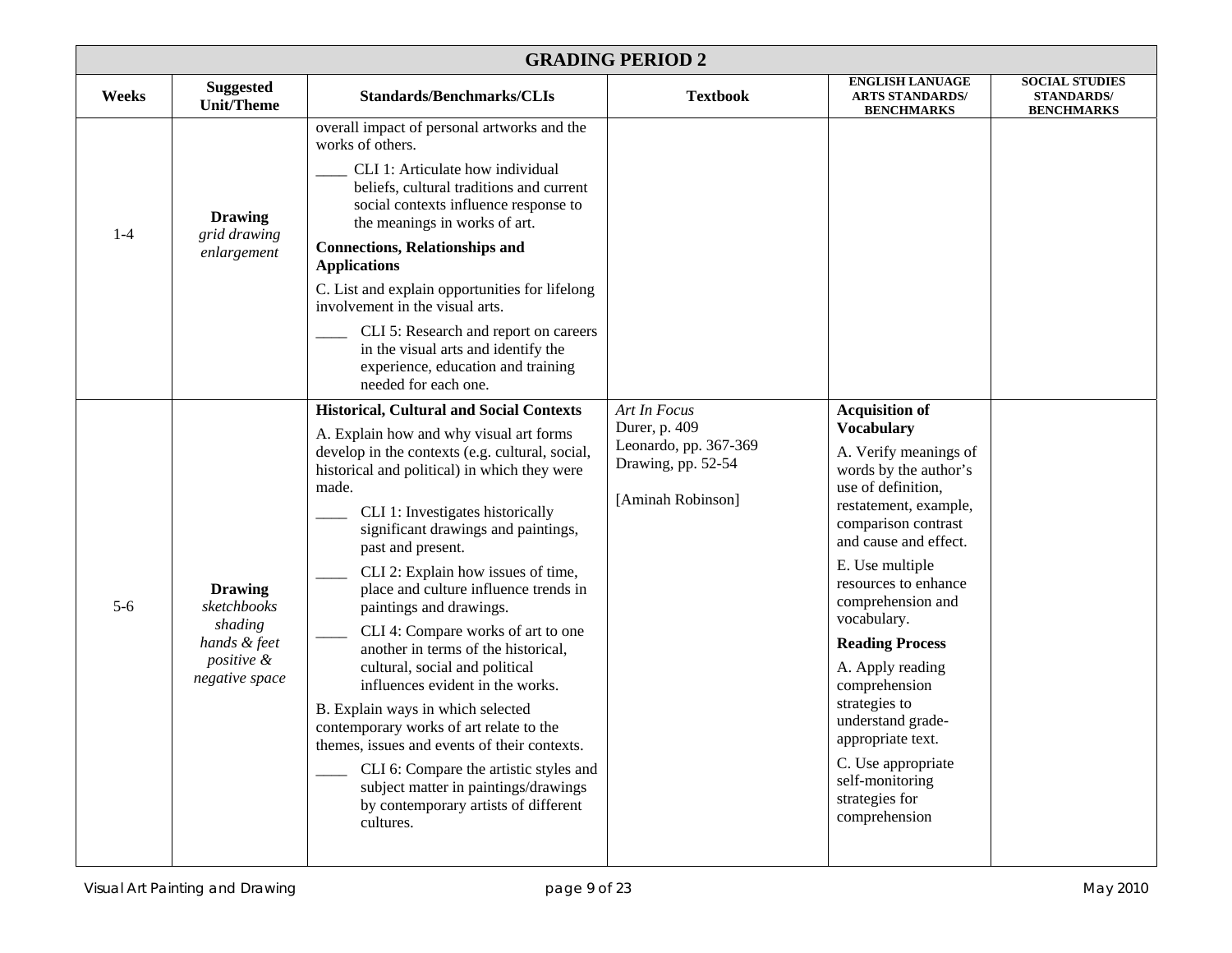|       | <b>GRADING PERIOD 2</b>                                                                  |                                                                                                                                                                                                                                                                                                                                                                                                                                                                                                                                                                                                                                                                                                                                                                                                                                            |                                                                                                   |                                                                                                                                                                                                                                                                                                                                                                                                                                                                                  |                                                                 |  |  |
|-------|------------------------------------------------------------------------------------------|--------------------------------------------------------------------------------------------------------------------------------------------------------------------------------------------------------------------------------------------------------------------------------------------------------------------------------------------------------------------------------------------------------------------------------------------------------------------------------------------------------------------------------------------------------------------------------------------------------------------------------------------------------------------------------------------------------------------------------------------------------------------------------------------------------------------------------------------|---------------------------------------------------------------------------------------------------|----------------------------------------------------------------------------------------------------------------------------------------------------------------------------------------------------------------------------------------------------------------------------------------------------------------------------------------------------------------------------------------------------------------------------------------------------------------------------------|-----------------------------------------------------------------|--|--|
| Weeks | <b>Suggested</b><br><b>Unit/Theme</b>                                                    | <b>Standards/Benchmarks/CLIs</b>                                                                                                                                                                                                                                                                                                                                                                                                                                                                                                                                                                                                                                                                                                                                                                                                           | <b>Textbook</b>                                                                                   | <b>ENGLISH LANUAGE</b><br><b>ARTS STANDARDS/</b><br><b>BENCHMARKS</b>                                                                                                                                                                                                                                                                                                                                                                                                            | <b>SOCIAL STUDIES</b><br><b>STANDARDS/</b><br><b>BENCHMARKS</b> |  |  |
| $1-4$ | <b>Drawing</b><br>grid drawing<br>enlargement                                            | overall impact of personal artworks and the<br>works of others.<br>CLI 1: Articulate how individual<br>beliefs, cultural traditions and current<br>social contexts influence response to<br>the meanings in works of art.<br><b>Connections, Relationships and</b><br><b>Applications</b><br>C. List and explain opportunities for lifelong<br>involvement in the visual arts.<br>CLI 5: Research and report on careers<br>in the visual arts and identify the<br>experience, education and training<br>needed for each one.                                                                                                                                                                                                                                                                                                               |                                                                                                   |                                                                                                                                                                                                                                                                                                                                                                                                                                                                                  |                                                                 |  |  |
| $5-6$ | <b>Drawing</b><br>sketchbooks<br>shading<br>hands & feet<br>positive &<br>negative space | <b>Historical, Cultural and Social Contexts</b><br>A. Explain how and why visual art forms<br>develop in the contexts (e.g. cultural, social,<br>historical and political) in which they were<br>made.<br>CLI 1: Investigates historically<br>significant drawings and paintings,<br>past and present.<br>CLI 2: Explain how issues of time,<br>place and culture influence trends in<br>paintings and drawings.<br>CLI 4: Compare works of art to one<br>another in terms of the historical,<br>cultural, social and political<br>influences evident in the works.<br>B. Explain ways in which selected<br>contemporary works of art relate to the<br>themes, issues and events of their contexts.<br>CLI 6: Compare the artistic styles and<br>subject matter in paintings/drawings<br>by contemporary artists of different<br>cultures. | Art In Focus<br>Durer, p. 409<br>Leonardo, pp. 367-369<br>Drawing, pp. 52-54<br>[Aminah Robinson] | <b>Acquisition of</b><br><b>Vocabulary</b><br>A. Verify meanings of<br>words by the author's<br>use of definition,<br>restatement, example,<br>comparison contrast<br>and cause and effect.<br>E. Use multiple<br>resources to enhance<br>comprehension and<br>vocabulary.<br><b>Reading Process</b><br>A. Apply reading<br>comprehension<br>strategies to<br>understand grade-<br>appropriate text.<br>C. Use appropriate<br>self-monitoring<br>strategies for<br>comprehension |                                                                 |  |  |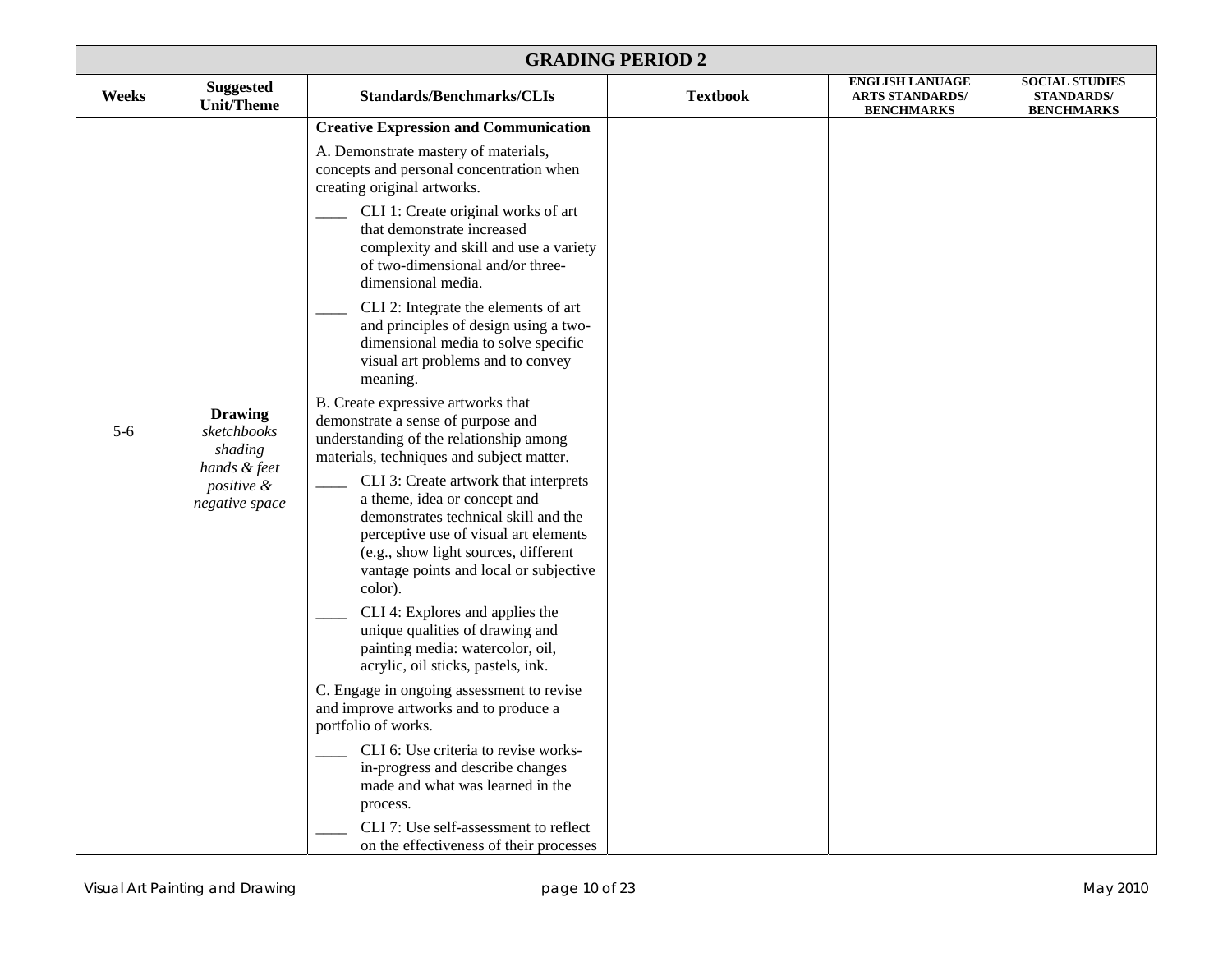| <b>GRADING PERIOD 2</b> |                                                          |                                                                                                                                                                                                                                                     |                 |                                                                       |                                                                 |  |
|-------------------------|----------------------------------------------------------|-----------------------------------------------------------------------------------------------------------------------------------------------------------------------------------------------------------------------------------------------------|-----------------|-----------------------------------------------------------------------|-----------------------------------------------------------------|--|
| Weeks                   | <b>Suggested</b><br><b>Unit/Theme</b>                    | <b>Standards/Benchmarks/CLIs</b>                                                                                                                                                                                                                    | <b>Textbook</b> | <b>ENGLISH LANUAGE</b><br><b>ARTS STANDARDS/</b><br><b>BENCHMARKS</b> | <b>SOCIAL STUDIES</b><br><b>STANDARDS/</b><br><b>BENCHMARKS</b> |  |
|                         |                                                          | <b>Creative Expression and Communication</b>                                                                                                                                                                                                        |                 |                                                                       |                                                                 |  |
|                         |                                                          | A. Demonstrate mastery of materials,<br>concepts and personal concentration when<br>creating original artworks.                                                                                                                                     |                 |                                                                       |                                                                 |  |
|                         |                                                          | CLI 1: Create original works of art<br>that demonstrate increased<br>complexity and skill and use a variety<br>of two-dimensional and/or three-<br>dimensional media.                                                                               |                 |                                                                       |                                                                 |  |
|                         |                                                          | CLI 2: Integrate the elements of art<br>and principles of design using a two-<br>dimensional media to solve specific<br>visual art problems and to convey<br>meaning.                                                                               |                 |                                                                       |                                                                 |  |
| $5 - 6$                 | <b>Drawing</b><br>sketchbooks<br>shading<br>hands & feet | B. Create expressive artworks that<br>demonstrate a sense of purpose and<br>understanding of the relationship among<br>materials, techniques and subject matter.                                                                                    |                 |                                                                       |                                                                 |  |
|                         | positive &<br>negative space                             | CLI 3: Create artwork that interprets<br>a theme, idea or concept and<br>demonstrates technical skill and the<br>perceptive use of visual art elements<br>(e.g., show light sources, different<br>vantage points and local or subjective<br>color). |                 |                                                                       |                                                                 |  |
|                         |                                                          | CLI 4: Explores and applies the<br>unique qualities of drawing and<br>painting media: watercolor, oil,<br>acrylic, oil sticks, pastels, ink.                                                                                                        |                 |                                                                       |                                                                 |  |
|                         |                                                          | C. Engage in ongoing assessment to revise<br>and improve artworks and to produce a<br>portfolio of works.                                                                                                                                           |                 |                                                                       |                                                                 |  |
|                         |                                                          | CLI 6: Use criteria to revise works-<br>in-progress and describe changes<br>made and what was learned in the<br>process.                                                                                                                            |                 |                                                                       |                                                                 |  |
|                         |                                                          | CLI 7: Use self-assessment to reflect<br>on the effectiveness of their processes                                                                                                                                                                    |                 |                                                                       |                                                                 |  |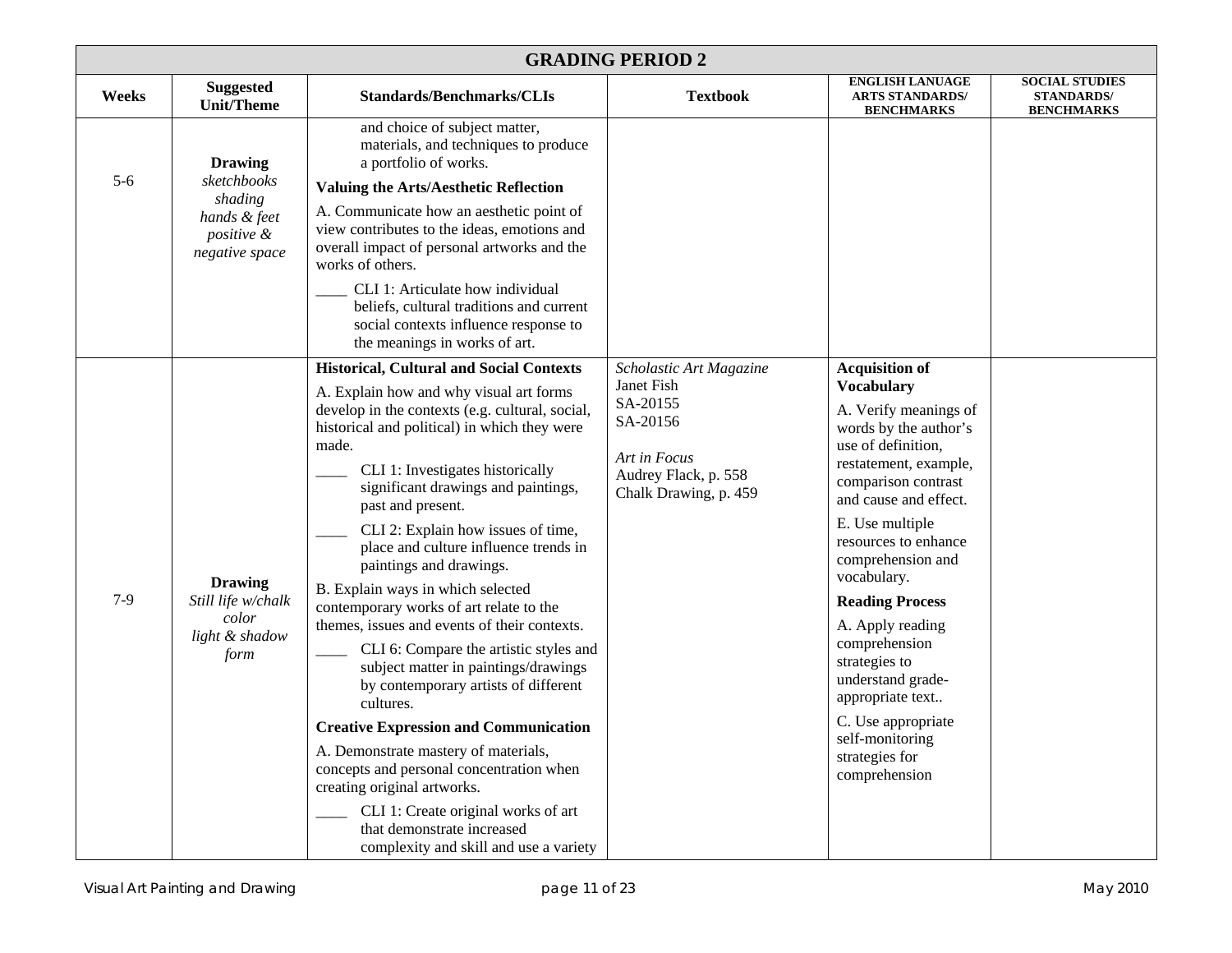| <b>GRADING PERIOD 2</b> |                                                                                          |                                                                                                                                                                                                                                                                                                                                                                                                                                                                                                                                                                                                                                                                                                                                                                                                                                                                                                                                                                           |                                                                                                                                |                                                                                                                                                                                                                                                                                                                                                                                                                                                                                 |                                                                 |
|-------------------------|------------------------------------------------------------------------------------------|---------------------------------------------------------------------------------------------------------------------------------------------------------------------------------------------------------------------------------------------------------------------------------------------------------------------------------------------------------------------------------------------------------------------------------------------------------------------------------------------------------------------------------------------------------------------------------------------------------------------------------------------------------------------------------------------------------------------------------------------------------------------------------------------------------------------------------------------------------------------------------------------------------------------------------------------------------------------------|--------------------------------------------------------------------------------------------------------------------------------|---------------------------------------------------------------------------------------------------------------------------------------------------------------------------------------------------------------------------------------------------------------------------------------------------------------------------------------------------------------------------------------------------------------------------------------------------------------------------------|-----------------------------------------------------------------|
| Weeks                   | <b>Suggested</b><br><b>Unit/Theme</b>                                                    | <b>Standards/Benchmarks/CLIs</b>                                                                                                                                                                                                                                                                                                                                                                                                                                                                                                                                                                                                                                                                                                                                                                                                                                                                                                                                          | <b>Textbook</b>                                                                                                                | <b>ENGLISH LANUAGE</b><br><b>ARTS STANDARDS/</b><br><b>BENCHMARKS</b>                                                                                                                                                                                                                                                                                                                                                                                                           | <b>SOCIAL STUDIES</b><br><b>STANDARDS/</b><br><b>BENCHMARKS</b> |
| $5-6$                   | <b>Drawing</b><br>sketchbooks<br>shading<br>hands & feet<br>positive &<br>negative space | and choice of subject matter,<br>materials, and techniques to produce<br>a portfolio of works.<br><b>Valuing the Arts/Aesthetic Reflection</b><br>A. Communicate how an aesthetic point of<br>view contributes to the ideas, emotions and<br>overall impact of personal artworks and the<br>works of others.<br>CLI 1: Articulate how individual<br>beliefs, cultural traditions and current<br>social contexts influence response to<br>the meanings in works of art.                                                                                                                                                                                                                                                                                                                                                                                                                                                                                                    |                                                                                                                                |                                                                                                                                                                                                                                                                                                                                                                                                                                                                                 |                                                                 |
| $7-9$                   | <b>Drawing</b><br>Still life w/chalk<br>color<br>light & shadow<br>form                  | <b>Historical, Cultural and Social Contexts</b><br>A. Explain how and why visual art forms<br>develop in the contexts (e.g. cultural, social,<br>historical and political) in which they were<br>made.<br>CLI 1: Investigates historically<br>significant drawings and paintings,<br>past and present.<br>CLI 2: Explain how issues of time,<br>place and culture influence trends in<br>paintings and drawings.<br>B. Explain ways in which selected<br>contemporary works of art relate to the<br>themes, issues and events of their contexts.<br>CLI 6: Compare the artistic styles and<br>subject matter in paintings/drawings<br>by contemporary artists of different<br>cultures.<br><b>Creative Expression and Communication</b><br>A. Demonstrate mastery of materials,<br>concepts and personal concentration when<br>creating original artworks.<br>CLI 1: Create original works of art<br>that demonstrate increased<br>complexity and skill and use a variety | Scholastic Art Magazine<br>Janet Fish<br>SA-20155<br>SA-20156<br>Art in Focus<br>Audrey Flack, p. 558<br>Chalk Drawing, p. 459 | <b>Acquisition of</b><br><b>Vocabulary</b><br>A. Verify meanings of<br>words by the author's<br>use of definition,<br>restatement, example,<br>comparison contrast<br>and cause and effect.<br>E. Use multiple<br>resources to enhance<br>comprehension and<br>vocabulary.<br><b>Reading Process</b><br>A. Apply reading<br>comprehension<br>strategies to<br>understand grade-<br>appropriate text<br>C. Use appropriate<br>self-monitoring<br>strategies for<br>comprehension |                                                                 |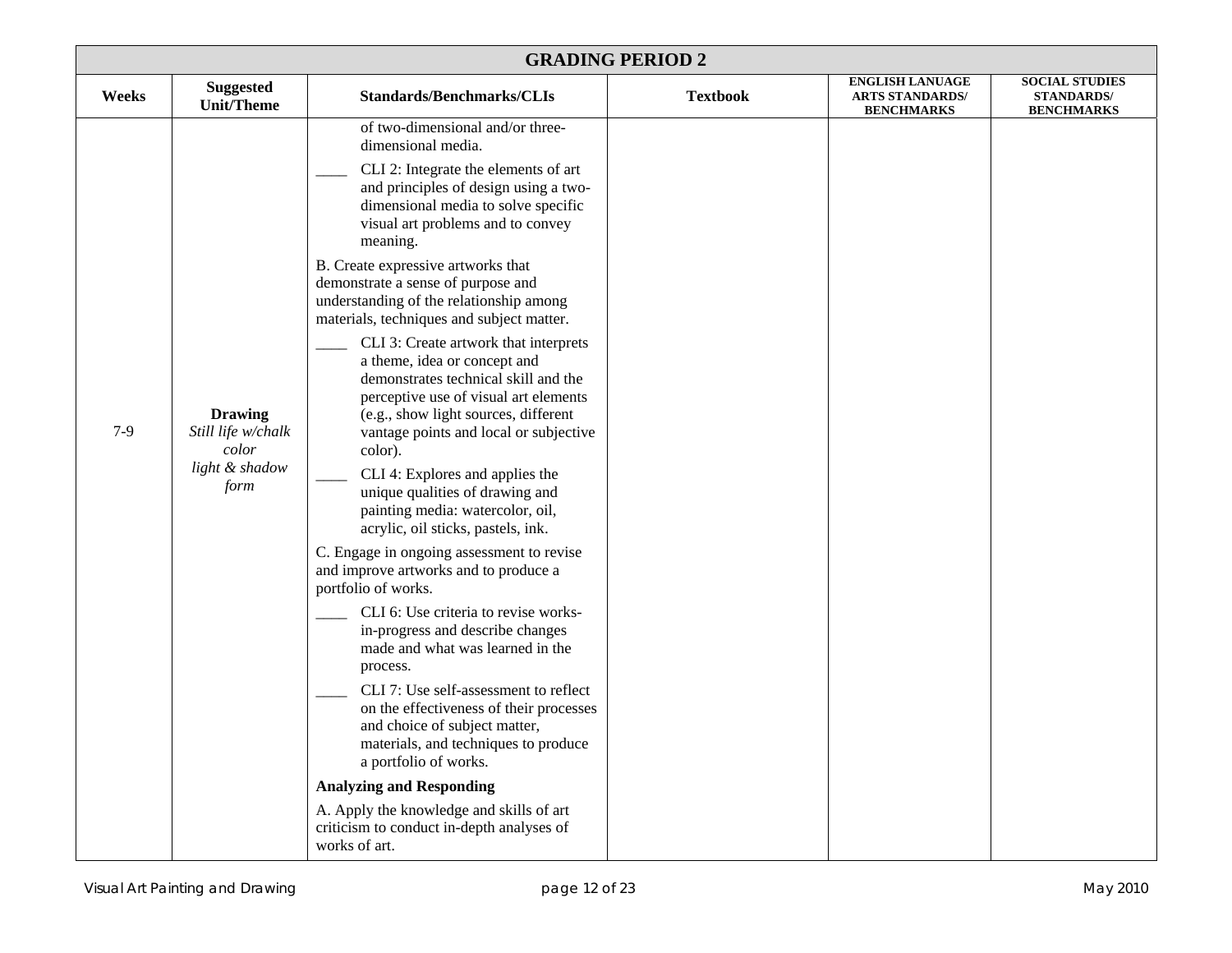| <b>GRADING PERIOD 2</b> |                                                                         |                                                                                                                                                                                                                                                                                                                                                                                                                                                                                                                                                                                                                                                                                                                                                                                                                                                                                                                                                                                                                                                                                                                                                                                                                                                                                                                                                                                        |                 |                                                                       |                                                                 |
|-------------------------|-------------------------------------------------------------------------|----------------------------------------------------------------------------------------------------------------------------------------------------------------------------------------------------------------------------------------------------------------------------------------------------------------------------------------------------------------------------------------------------------------------------------------------------------------------------------------------------------------------------------------------------------------------------------------------------------------------------------------------------------------------------------------------------------------------------------------------------------------------------------------------------------------------------------------------------------------------------------------------------------------------------------------------------------------------------------------------------------------------------------------------------------------------------------------------------------------------------------------------------------------------------------------------------------------------------------------------------------------------------------------------------------------------------------------------------------------------------------------|-----------------|-----------------------------------------------------------------------|-----------------------------------------------------------------|
| Weeks                   | <b>Suggested</b><br><b>Unit/Theme</b>                                   | <b>Standards/Benchmarks/CLIs</b>                                                                                                                                                                                                                                                                                                                                                                                                                                                                                                                                                                                                                                                                                                                                                                                                                                                                                                                                                                                                                                                                                                                                                                                                                                                                                                                                                       | <b>Textbook</b> | <b>ENGLISH LANUAGE</b><br><b>ARTS STANDARDS/</b><br><b>BENCHMARKS</b> | <b>SOCIAL STUDIES</b><br><b>STANDARDS/</b><br><b>BENCHMARKS</b> |
| $7-9$                   | <b>Drawing</b><br>Still life w/chalk<br>color<br>light & shadow<br>form | of two-dimensional and/or three-<br>dimensional media.<br>CLI 2: Integrate the elements of art<br>and principles of design using a two-<br>dimensional media to solve specific<br>visual art problems and to convey<br>meaning.<br>B. Create expressive artworks that<br>demonstrate a sense of purpose and<br>understanding of the relationship among<br>materials, techniques and subject matter.<br>CLI 3: Create artwork that interprets<br>a theme, idea or concept and<br>demonstrates technical skill and the<br>perceptive use of visual art elements<br>(e.g., show light sources, different<br>vantage points and local or subjective<br>color).<br>CLI 4: Explores and applies the<br>unique qualities of drawing and<br>painting media: watercolor, oil,<br>acrylic, oil sticks, pastels, ink.<br>C. Engage in ongoing assessment to revise<br>and improve artworks and to produce a<br>portfolio of works.<br>CLI 6: Use criteria to revise works-<br>in-progress and describe changes<br>made and what was learned in the<br>process.<br>CLI 7: Use self-assessment to reflect<br>on the effectiveness of their processes<br>and choice of subject matter,<br>materials, and techniques to produce<br>a portfolio of works.<br><b>Analyzing and Responding</b><br>A. Apply the knowledge and skills of art<br>criticism to conduct in-depth analyses of<br>works of art. |                 |                                                                       |                                                                 |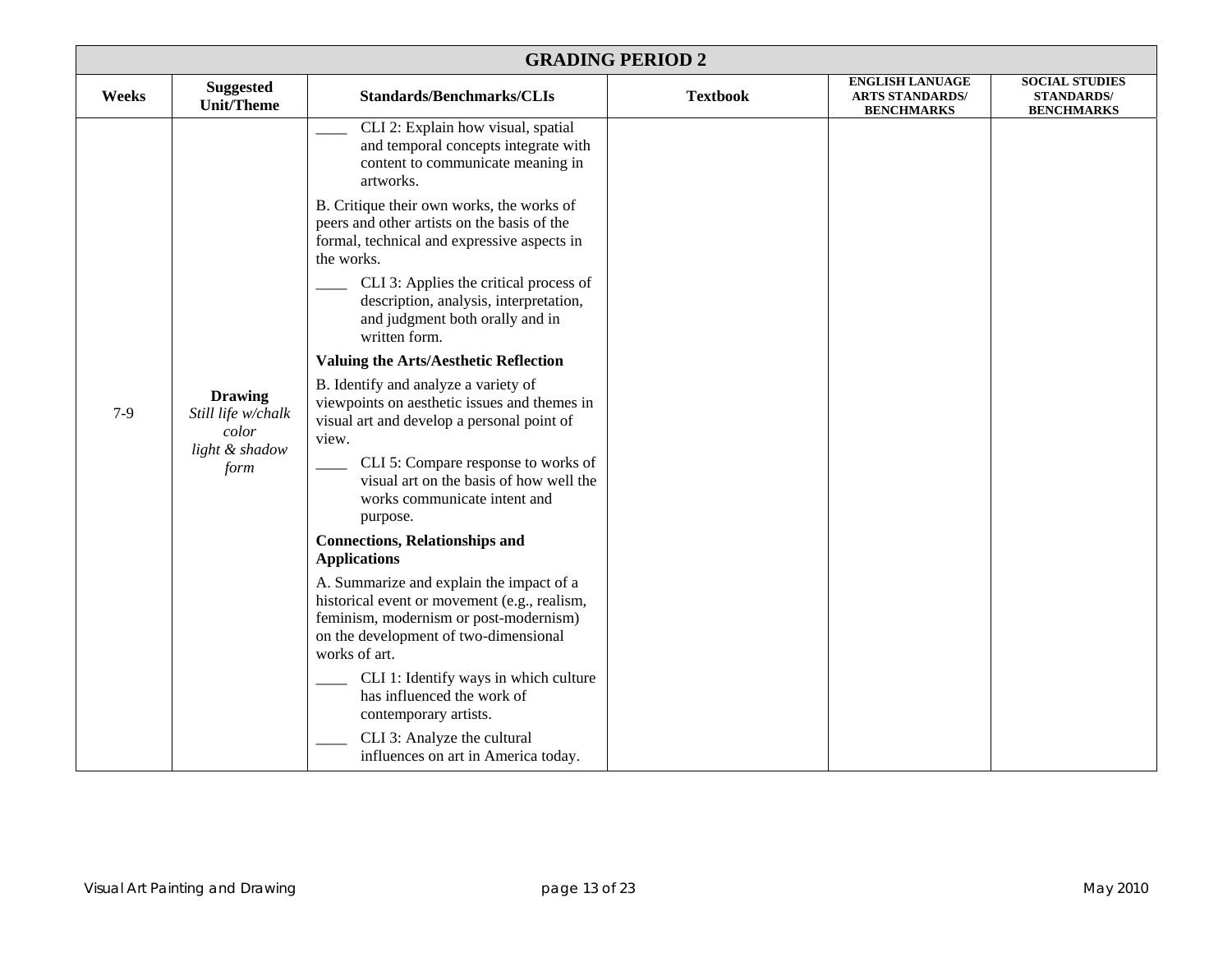| <b>GRADING PERIOD 2</b> |                                                                         |                                                                                                                                                                                                                                                                                                                                                                                                                                                                                                                                                                                                                                                                                                                                                                                                                                                                                                                                                                                                                                                                                                                                                                                                  |                 |                                                                       |                                                                 |  |
|-------------------------|-------------------------------------------------------------------------|--------------------------------------------------------------------------------------------------------------------------------------------------------------------------------------------------------------------------------------------------------------------------------------------------------------------------------------------------------------------------------------------------------------------------------------------------------------------------------------------------------------------------------------------------------------------------------------------------------------------------------------------------------------------------------------------------------------------------------------------------------------------------------------------------------------------------------------------------------------------------------------------------------------------------------------------------------------------------------------------------------------------------------------------------------------------------------------------------------------------------------------------------------------------------------------------------|-----------------|-----------------------------------------------------------------------|-----------------------------------------------------------------|--|
| Weeks                   | <b>Suggested</b><br><b>Unit/Theme</b>                                   | <b>Standards/Benchmarks/CLIs</b>                                                                                                                                                                                                                                                                                                                                                                                                                                                                                                                                                                                                                                                                                                                                                                                                                                                                                                                                                                                                                                                                                                                                                                 | <b>Textbook</b> | <b>ENGLISH LANUAGE</b><br><b>ARTS STANDARDS/</b><br><b>BENCHMARKS</b> | <b>SOCIAL STUDIES</b><br><b>STANDARDS/</b><br><b>BENCHMARKS</b> |  |
| $7-9$                   | <b>Drawing</b><br>Still life w/chalk<br>color<br>light & shadow<br>form | CLI 2: Explain how visual, spatial<br>and temporal concepts integrate with<br>content to communicate meaning in<br>artworks.<br>B. Critique their own works, the works of<br>peers and other artists on the basis of the<br>formal, technical and expressive aspects in<br>the works.<br>CLI 3: Applies the critical process of<br>description, analysis, interpretation,<br>and judgment both orally and in<br>written form.<br><b>Valuing the Arts/Aesthetic Reflection</b><br>B. Identify and analyze a variety of<br>viewpoints on aesthetic issues and themes in<br>visual art and develop a personal point of<br>view.<br>CLI 5: Compare response to works of<br>visual art on the basis of how well the<br>works communicate intent and<br>purpose.<br><b>Connections, Relationships and</b><br><b>Applications</b><br>A. Summarize and explain the impact of a<br>historical event or movement (e.g., realism,<br>feminism, modernism or post-modernism)<br>on the development of two-dimensional<br>works of art.<br>CLI 1: Identify ways in which culture<br>has influenced the work of<br>contemporary artists.<br>CLI 3: Analyze the cultural<br>influences on art in America today. |                 |                                                                       |                                                                 |  |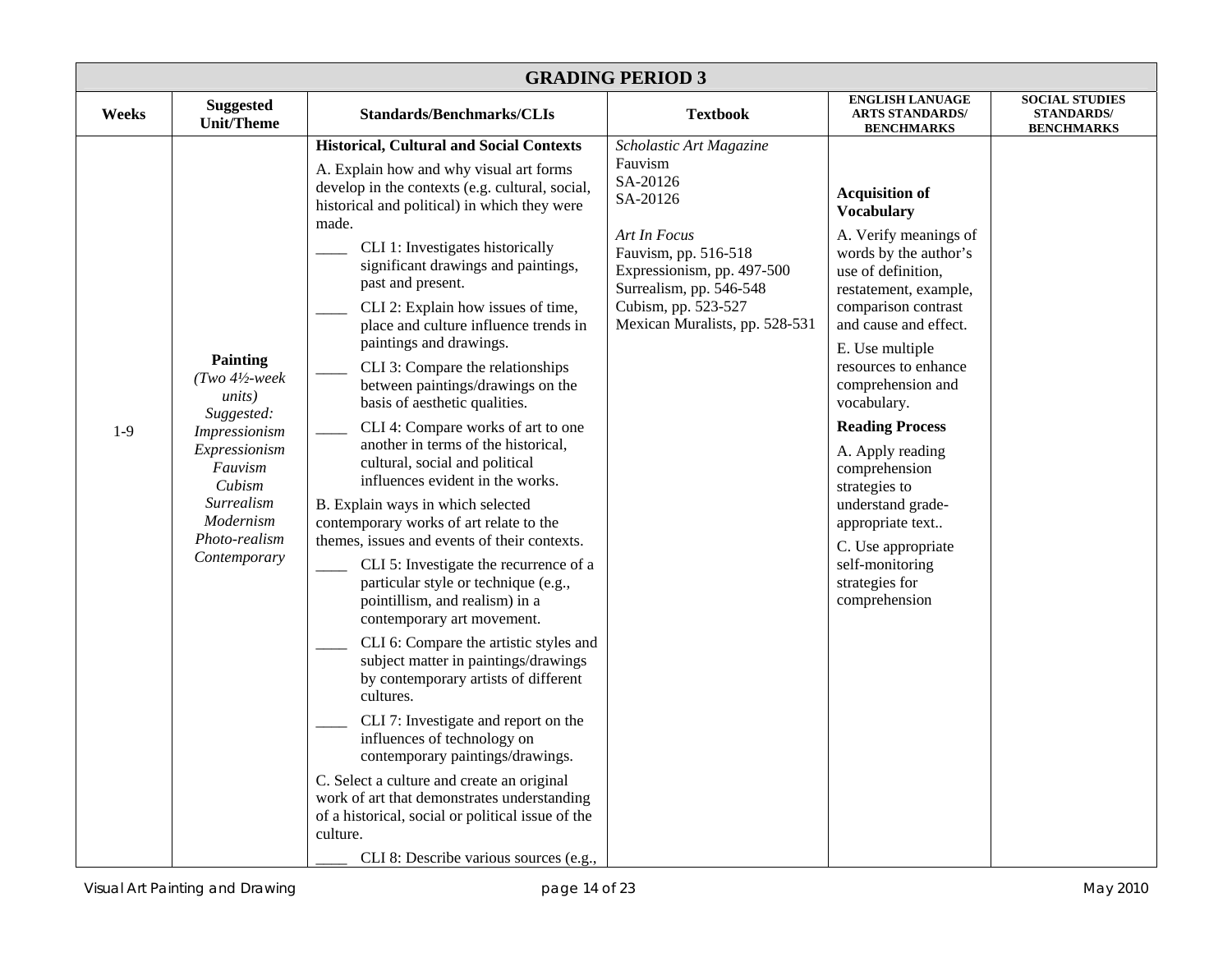| <b>GRADING PERIOD 3</b> |                                                                                                                                                                               |                                                                                                                                                                                                                                                                                                                                                                                                                                                                                                                                                                                                                                                                                                                                                                                                                                                                                                                                                                                                                                                                                                                                                                                                                                                                                                                                                                                                                           |                                                                                                                                                                                                                      |                                                                                                                                                                                                                                                                                                                                                                                                                                                                                 |                                                                 |  |  |
|-------------------------|-------------------------------------------------------------------------------------------------------------------------------------------------------------------------------|---------------------------------------------------------------------------------------------------------------------------------------------------------------------------------------------------------------------------------------------------------------------------------------------------------------------------------------------------------------------------------------------------------------------------------------------------------------------------------------------------------------------------------------------------------------------------------------------------------------------------------------------------------------------------------------------------------------------------------------------------------------------------------------------------------------------------------------------------------------------------------------------------------------------------------------------------------------------------------------------------------------------------------------------------------------------------------------------------------------------------------------------------------------------------------------------------------------------------------------------------------------------------------------------------------------------------------------------------------------------------------------------------------------------------|----------------------------------------------------------------------------------------------------------------------------------------------------------------------------------------------------------------------|---------------------------------------------------------------------------------------------------------------------------------------------------------------------------------------------------------------------------------------------------------------------------------------------------------------------------------------------------------------------------------------------------------------------------------------------------------------------------------|-----------------------------------------------------------------|--|--|
| Weeks                   | <b>Suggested</b><br><b>Unit/Theme</b>                                                                                                                                         | <b>Standards/Benchmarks/CLIs</b>                                                                                                                                                                                                                                                                                                                                                                                                                                                                                                                                                                                                                                                                                                                                                                                                                                                                                                                                                                                                                                                                                                                                                                                                                                                                                                                                                                                          | <b>Textbook</b>                                                                                                                                                                                                      | <b>ENGLISH LANUAGE</b><br><b>ARTS STANDARDS/</b><br><b>BENCHMARKS</b>                                                                                                                                                                                                                                                                                                                                                                                                           | <b>SOCIAL STUDIES</b><br><b>STANDARDS/</b><br><b>BENCHMARKS</b> |  |  |
| $1-9$                   | Painting<br>$(Two 4\text{--}$ week<br>units)<br>Suggested:<br>Impressionism<br>Expressionism<br>Fauvism<br>Cubism<br>Surrealism<br>Modernism<br>Photo-realism<br>Contemporary | <b>Historical, Cultural and Social Contexts</b><br>A. Explain how and why visual art forms<br>develop in the contexts (e.g. cultural, social,<br>historical and political) in which they were<br>made.<br>CLI 1: Investigates historically<br>significant drawings and paintings,<br>past and present.<br>CLI 2: Explain how issues of time,<br>place and culture influence trends in<br>paintings and drawings.<br>CLI 3: Compare the relationships<br>between paintings/drawings on the<br>basis of aesthetic qualities.<br>CLI 4: Compare works of art to one<br>another in terms of the historical,<br>cultural, social and political<br>influences evident in the works.<br>B. Explain ways in which selected<br>contemporary works of art relate to the<br>themes, issues and events of their contexts.<br>CLI 5: Investigate the recurrence of a<br>particular style or technique (e.g.,<br>pointillism, and realism) in a<br>contemporary art movement.<br>CLI 6: Compare the artistic styles and<br>subject matter in paintings/drawings<br>by contemporary artists of different<br>cultures.<br>CLI 7: Investigate and report on the<br>influences of technology on<br>contemporary paintings/drawings.<br>C. Select a culture and create an original<br>work of art that demonstrates understanding<br>of a historical, social or political issue of the<br>culture.<br>CLI 8: Describe various sources (e.g., | Scholastic Art Magazine<br>Fauvism<br>SA-20126<br>SA-20126<br>Art In Focus<br>Fauvism, pp. 516-518<br>Expressionism, pp. 497-500<br>Surrealism, pp. 546-548<br>Cubism, pp. 523-527<br>Mexican Muralists, pp. 528-531 | <b>Acquisition of</b><br><b>Vocabulary</b><br>A. Verify meanings of<br>words by the author's<br>use of definition,<br>restatement, example,<br>comparison contrast<br>and cause and effect.<br>E. Use multiple<br>resources to enhance<br>comprehension and<br>vocabulary.<br><b>Reading Process</b><br>A. Apply reading<br>comprehension<br>strategies to<br>understand grade-<br>appropriate text<br>C. Use appropriate<br>self-monitoring<br>strategies for<br>comprehension |                                                                 |  |  |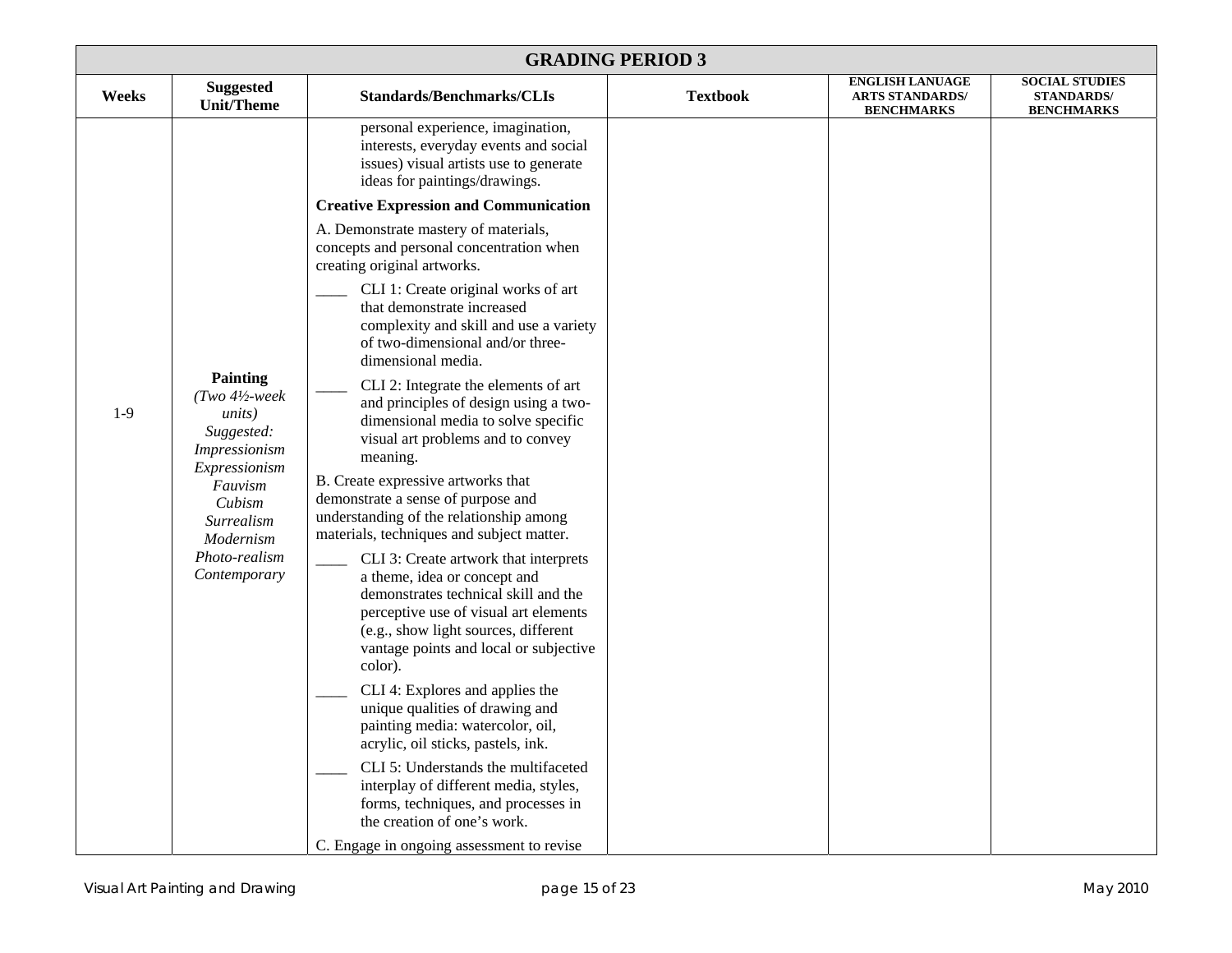|       | <b>GRADING PERIOD 3</b>                                                                                                       |                                                                                                                                                                                                                                                                                                                                                                                                                                                                                                                                                                                                                                                                                                                                                                                                                                                                    |                 |                                                                       |                                                                 |  |  |  |
|-------|-------------------------------------------------------------------------------------------------------------------------------|--------------------------------------------------------------------------------------------------------------------------------------------------------------------------------------------------------------------------------------------------------------------------------------------------------------------------------------------------------------------------------------------------------------------------------------------------------------------------------------------------------------------------------------------------------------------------------------------------------------------------------------------------------------------------------------------------------------------------------------------------------------------------------------------------------------------------------------------------------------------|-----------------|-----------------------------------------------------------------------|-----------------------------------------------------------------|--|--|--|
| Weeks | <b>Suggested</b><br><b>Unit/Theme</b>                                                                                         | <b>Standards/Benchmarks/CLIs</b>                                                                                                                                                                                                                                                                                                                                                                                                                                                                                                                                                                                                                                                                                                                                                                                                                                   | <b>Textbook</b> | <b>ENGLISH LANUAGE</b><br><b>ARTS STANDARDS/</b><br><b>BENCHMARKS</b> | <b>SOCIAL STUDIES</b><br><b>STANDARDS/</b><br><b>BENCHMARKS</b> |  |  |  |
| $1-9$ | Painting<br>$(Two 4\frac{1}{2} week$<br><i>units</i> )                                                                        | personal experience, imagination,<br>interests, everyday events and social<br>issues) visual artists use to generate<br>ideas for paintings/drawings.<br><b>Creative Expression and Communication</b><br>A. Demonstrate mastery of materials,<br>concepts and personal concentration when<br>creating original artworks.<br>CLI 1: Create original works of art<br>that demonstrate increased<br>complexity and skill and use a variety<br>of two-dimensional and/or three-<br>dimensional media.<br>CLI 2: Integrate the elements of art<br>and principles of design using a two-                                                                                                                                                                                                                                                                                 |                 |                                                                       |                                                                 |  |  |  |
|       | Suggested:<br>Impressionism<br>Expressionism<br>Fauvism<br>Cubism<br>Surrealism<br>Modernism<br>Photo-realism<br>Contemporary | dimensional media to solve specific<br>visual art problems and to convey<br>meaning.<br>B. Create expressive artworks that<br>demonstrate a sense of purpose and<br>understanding of the relationship among<br>materials, techniques and subject matter.<br>CLI 3: Create artwork that interprets<br>a theme, idea or concept and<br>demonstrates technical skill and the<br>perceptive use of visual art elements<br>(e.g., show light sources, different<br>vantage points and local or subjective<br>color).<br>CLI 4: Explores and applies the<br>unique qualities of drawing and<br>painting media: watercolor, oil,<br>acrylic, oil sticks, pastels, ink.<br>CLI 5: Understands the multifaceted<br>interplay of different media, styles,<br>forms, techniques, and processes in<br>the creation of one's work.<br>C. Engage in ongoing assessment to revise |                 |                                                                       |                                                                 |  |  |  |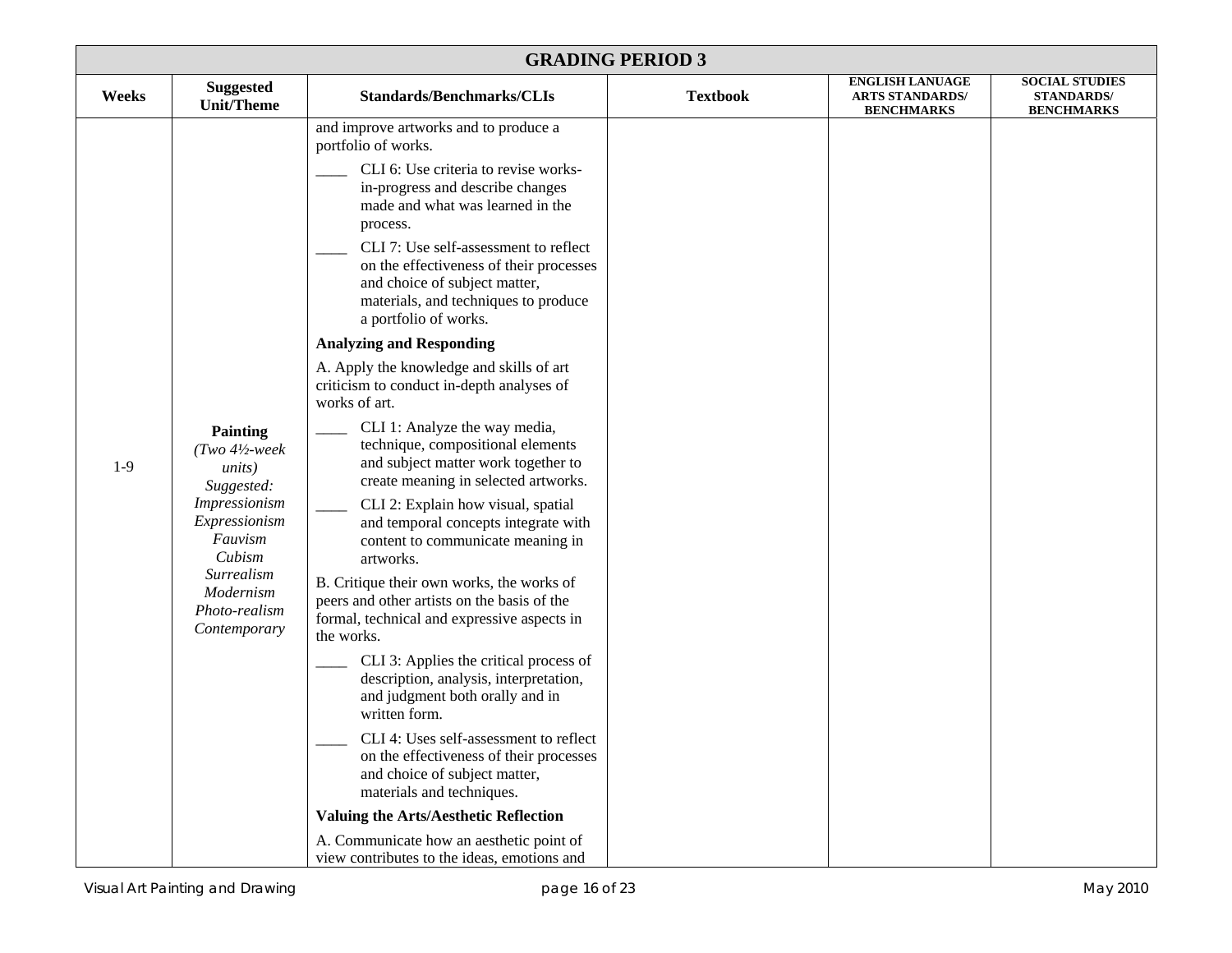| <b>GRADING PERIOD 3</b> |                                                                                                                                                                                                     |                                                                                                                                                                                                                                                                                                                                                                                                                                                                                                                                                                                                                                                                                                                                                                                                                                                                                                                                                                                                                                                                                                                                                                                                                                                                                                                                                                                                                 |                 |                                                                       |                                                                 |  |
|-------------------------|-----------------------------------------------------------------------------------------------------------------------------------------------------------------------------------------------------|-----------------------------------------------------------------------------------------------------------------------------------------------------------------------------------------------------------------------------------------------------------------------------------------------------------------------------------------------------------------------------------------------------------------------------------------------------------------------------------------------------------------------------------------------------------------------------------------------------------------------------------------------------------------------------------------------------------------------------------------------------------------------------------------------------------------------------------------------------------------------------------------------------------------------------------------------------------------------------------------------------------------------------------------------------------------------------------------------------------------------------------------------------------------------------------------------------------------------------------------------------------------------------------------------------------------------------------------------------------------------------------------------------------------|-----------------|-----------------------------------------------------------------------|-----------------------------------------------------------------|--|
| Weeks                   | <b>Suggested</b><br><b>Unit/Theme</b>                                                                                                                                                               | <b>Standards/Benchmarks/CLIs</b>                                                                                                                                                                                                                                                                                                                                                                                                                                                                                                                                                                                                                                                                                                                                                                                                                                                                                                                                                                                                                                                                                                                                                                                                                                                                                                                                                                                | <b>Textbook</b> | <b>ENGLISH LANUAGE</b><br><b>ARTS STANDARDS/</b><br><b>BENCHMARKS</b> | <b>SOCIAL STUDIES</b><br><b>STANDARDS/</b><br><b>BENCHMARKS</b> |  |
| $1-9$                   | <b>Painting</b><br>$(Two 4\text{--}$ week<br><i>units</i> )<br>Suggested:<br><b>Impressionism</b><br>Expressionism<br>Fauvism<br>Cubism<br>Surrealism<br>Modernism<br>Photo-realism<br>Contemporary | and improve artworks and to produce a<br>portfolio of works.<br>CLI 6: Use criteria to revise works-<br>in-progress and describe changes<br>made and what was learned in the<br>process.<br>CLI 7: Use self-assessment to reflect<br>on the effectiveness of their processes<br>and choice of subject matter,<br>materials, and techniques to produce<br>a portfolio of works.<br><b>Analyzing and Responding</b><br>A. Apply the knowledge and skills of art<br>criticism to conduct in-depth analyses of<br>works of art.<br>CLI 1: Analyze the way media,<br>technique, compositional elements<br>and subject matter work together to<br>create meaning in selected artworks.<br>CLI 2: Explain how visual, spatial<br>and temporal concepts integrate with<br>content to communicate meaning in<br>artworks.<br>B. Critique their own works, the works of<br>peers and other artists on the basis of the<br>formal, technical and expressive aspects in<br>the works.<br>CLI 3: Applies the critical process of<br>description, analysis, interpretation,<br>and judgment both orally and in<br>written form.<br>CLI 4: Uses self-assessment to reflect<br>on the effectiveness of their processes<br>and choice of subject matter,<br>materials and techniques.<br><b>Valuing the Arts/Aesthetic Reflection</b><br>A. Communicate how an aesthetic point of<br>view contributes to the ideas, emotions and |                 |                                                                       |                                                                 |  |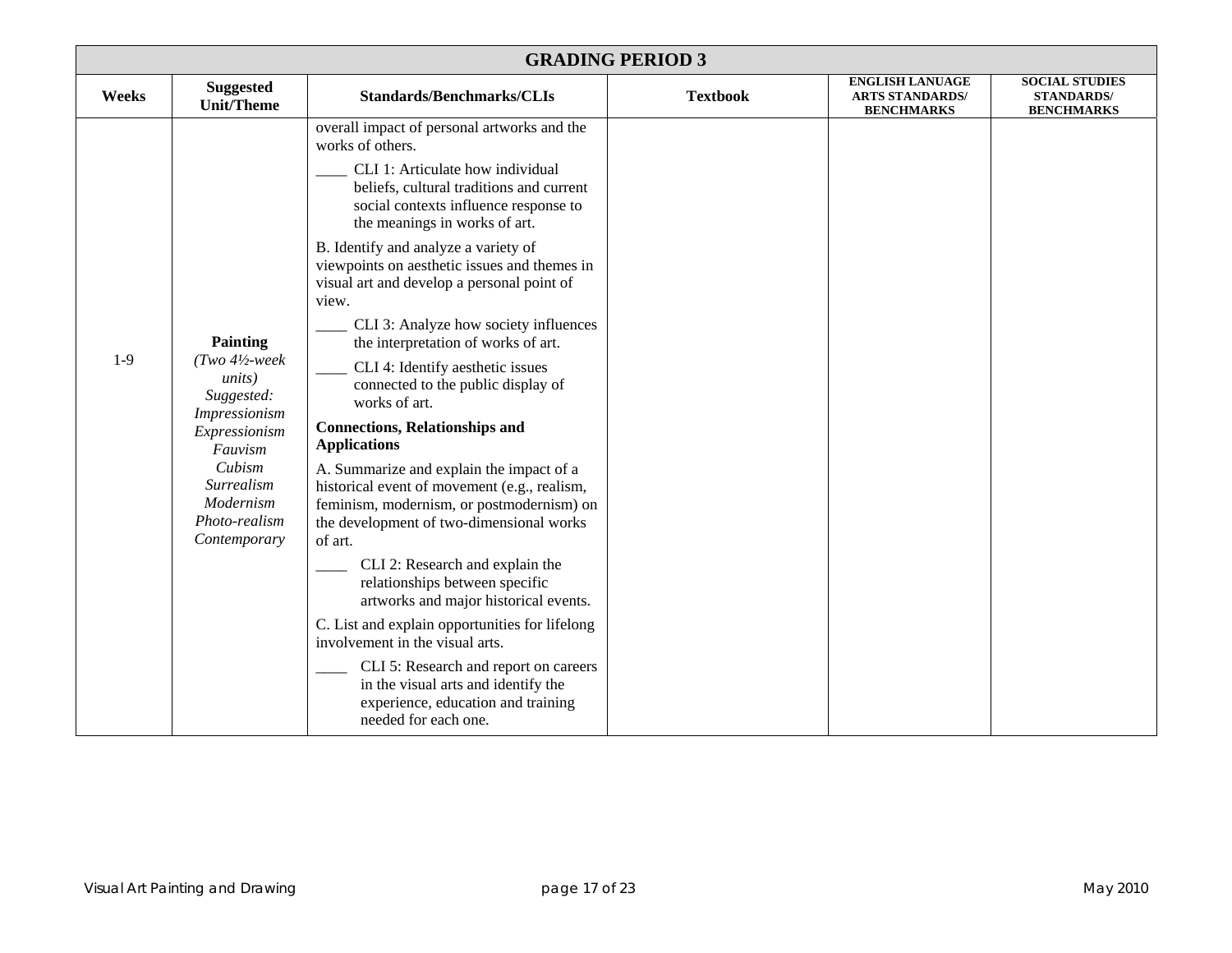|       | <b>GRADING PERIOD 3</b>                                                                                                                                                                               |                                                                                                                                                                                                                                                                                                                                                                                                                                                                                                                                                                                                                                                                                                                                                                                                                                                                                                                                                                                     |                 |                                                                       |                                                                 |  |  |
|-------|-------------------------------------------------------------------------------------------------------------------------------------------------------------------------------------------------------|-------------------------------------------------------------------------------------------------------------------------------------------------------------------------------------------------------------------------------------------------------------------------------------------------------------------------------------------------------------------------------------------------------------------------------------------------------------------------------------------------------------------------------------------------------------------------------------------------------------------------------------------------------------------------------------------------------------------------------------------------------------------------------------------------------------------------------------------------------------------------------------------------------------------------------------------------------------------------------------|-----------------|-----------------------------------------------------------------------|-----------------------------------------------------------------|--|--|
| Weeks | <b>Suggested</b><br><b>Unit/Theme</b>                                                                                                                                                                 | <b>Standards/Benchmarks/CLIs</b>                                                                                                                                                                                                                                                                                                                                                                                                                                                                                                                                                                                                                                                                                                                                                                                                                                                                                                                                                    | <b>Textbook</b> | <b>ENGLISH LANUAGE</b><br><b>ARTS STANDARDS/</b><br><b>BENCHMARKS</b> | <b>SOCIAL STUDIES</b><br><b>STANDARDS/</b><br><b>BENCHMARKS</b> |  |  |
| $1-9$ | <b>Painting</b><br>$(Two 4\frac{1}{2} week$<br><i>units</i> )<br>Suggested:<br><i>Impressionism</i><br>Expressionism<br>Fauvism<br>Cubism<br>Surrealism<br>Modernism<br>Photo-realism<br>Contemporary | overall impact of personal artworks and the<br>works of others.<br>CLI 1: Articulate how individual<br>beliefs, cultural traditions and current<br>social contexts influence response to<br>the meanings in works of art.<br>B. Identify and analyze a variety of<br>viewpoints on aesthetic issues and themes in<br>visual art and develop a personal point of<br>view.<br>CLI 3: Analyze how society influences<br>the interpretation of works of art.<br>CLI 4: Identify aesthetic issues<br>connected to the public display of<br>works of art.<br><b>Connections, Relationships and</b><br><b>Applications</b><br>A. Summarize and explain the impact of a<br>historical event of movement (e.g., realism,<br>feminism, modernism, or postmodernism) on<br>the development of two-dimensional works<br>of art.<br>CLI 2: Research and explain the<br>relationships between specific<br>artworks and major historical events.<br>C. List and explain opportunities for lifelong |                 |                                                                       |                                                                 |  |  |
|       |                                                                                                                                                                                                       | involvement in the visual arts.<br>CLI 5: Research and report on careers<br>in the visual arts and identify the<br>experience, education and training<br>needed for each one.                                                                                                                                                                                                                                                                                                                                                                                                                                                                                                                                                                                                                                                                                                                                                                                                       |                 |                                                                       |                                                                 |  |  |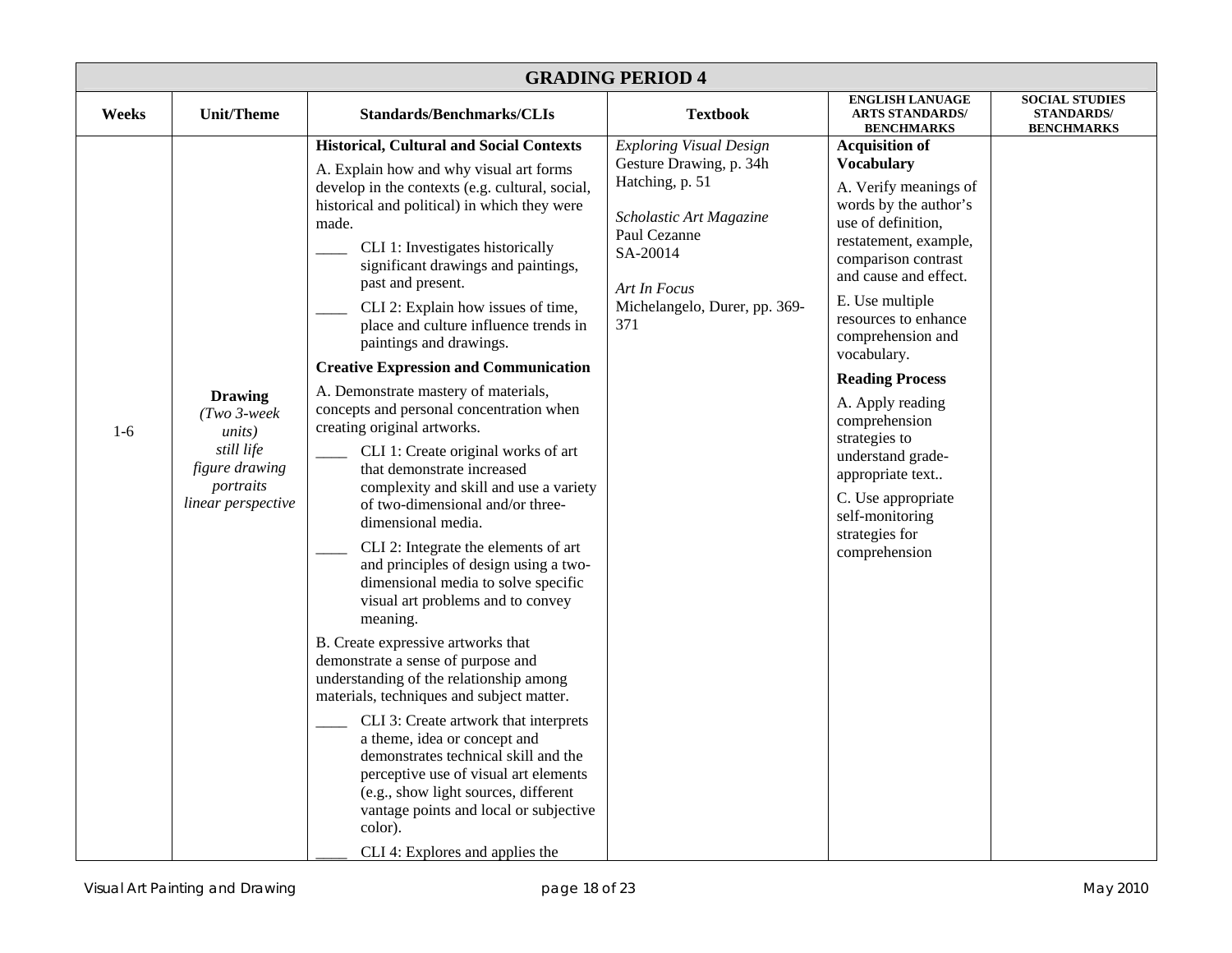| <b>GRADING PERIOD 4</b> |                                                                                                                      |                                                                                                                                                                                                                                                                                                                                                                                                                                                                                                                                                                                                                                                                                                                                                                                                                                                                                                                                                                                                                                                                                                                                                                                                                                                                                                                                                                                                     |                                                                                                                                                                                             |                                                                                                                                                                                                                                                                                                                                                                                                                                                                                 |                                                                 |  |
|-------------------------|----------------------------------------------------------------------------------------------------------------------|-----------------------------------------------------------------------------------------------------------------------------------------------------------------------------------------------------------------------------------------------------------------------------------------------------------------------------------------------------------------------------------------------------------------------------------------------------------------------------------------------------------------------------------------------------------------------------------------------------------------------------------------------------------------------------------------------------------------------------------------------------------------------------------------------------------------------------------------------------------------------------------------------------------------------------------------------------------------------------------------------------------------------------------------------------------------------------------------------------------------------------------------------------------------------------------------------------------------------------------------------------------------------------------------------------------------------------------------------------------------------------------------------------|---------------------------------------------------------------------------------------------------------------------------------------------------------------------------------------------|---------------------------------------------------------------------------------------------------------------------------------------------------------------------------------------------------------------------------------------------------------------------------------------------------------------------------------------------------------------------------------------------------------------------------------------------------------------------------------|-----------------------------------------------------------------|--|
| Weeks                   | <b>Unit/Theme</b>                                                                                                    | <b>Standards/Benchmarks/CLIs</b>                                                                                                                                                                                                                                                                                                                                                                                                                                                                                                                                                                                                                                                                                                                                                                                                                                                                                                                                                                                                                                                                                                                                                                                                                                                                                                                                                                    | <b>Textbook</b>                                                                                                                                                                             | <b>ENGLISH LANUAGE</b><br><b>ARTS STANDARDS/</b><br><b>BENCHMARKS</b>                                                                                                                                                                                                                                                                                                                                                                                                           | <b>SOCIAL STUDIES</b><br><b>STANDARDS/</b><br><b>BENCHMARKS</b> |  |
| $1-6$                   | <b>Drawing</b><br>$(Two 3-week$<br><i>units</i> )<br>still life<br>figure drawing<br>portraits<br>linear perspective | <b>Historical, Cultural and Social Contexts</b><br>A. Explain how and why visual art forms<br>develop in the contexts (e.g. cultural, social,<br>historical and political) in which they were<br>made.<br>CLI 1: Investigates historically<br>significant drawings and paintings,<br>past and present.<br>CLI 2: Explain how issues of time,<br>place and culture influence trends in<br>paintings and drawings.<br><b>Creative Expression and Communication</b><br>A. Demonstrate mastery of materials,<br>concepts and personal concentration when<br>creating original artworks.<br>CLI 1: Create original works of art<br>that demonstrate increased<br>complexity and skill and use a variety<br>of two-dimensional and/or three-<br>dimensional media.<br>CLI 2: Integrate the elements of art<br>and principles of design using a two-<br>dimensional media to solve specific<br>visual art problems and to convey<br>meaning.<br>B. Create expressive artworks that<br>demonstrate a sense of purpose and<br>understanding of the relationship among<br>materials, techniques and subject matter.<br>CLI 3: Create artwork that interprets<br>a theme, idea or concept and<br>demonstrates technical skill and the<br>perceptive use of visual art elements<br>(e.g., show light sources, different<br>vantage points and local or subjective<br>color).<br>CLI 4: Explores and applies the | <b>Exploring Visual Design</b><br>Gesture Drawing, p. 34h<br>Hatching, p. 51<br>Scholastic Art Magazine<br>Paul Cezanne<br>SA-20014<br>Art In Focus<br>Michelangelo, Durer, pp. 369-<br>371 | <b>Acquisition of</b><br><b>Vocabulary</b><br>A. Verify meanings of<br>words by the author's<br>use of definition,<br>restatement, example,<br>comparison contrast<br>and cause and effect.<br>E. Use multiple<br>resources to enhance<br>comprehension and<br>vocabulary.<br><b>Reading Process</b><br>A. Apply reading<br>comprehension<br>strategies to<br>understand grade-<br>appropriate text<br>C. Use appropriate<br>self-monitoring<br>strategies for<br>comprehension |                                                                 |  |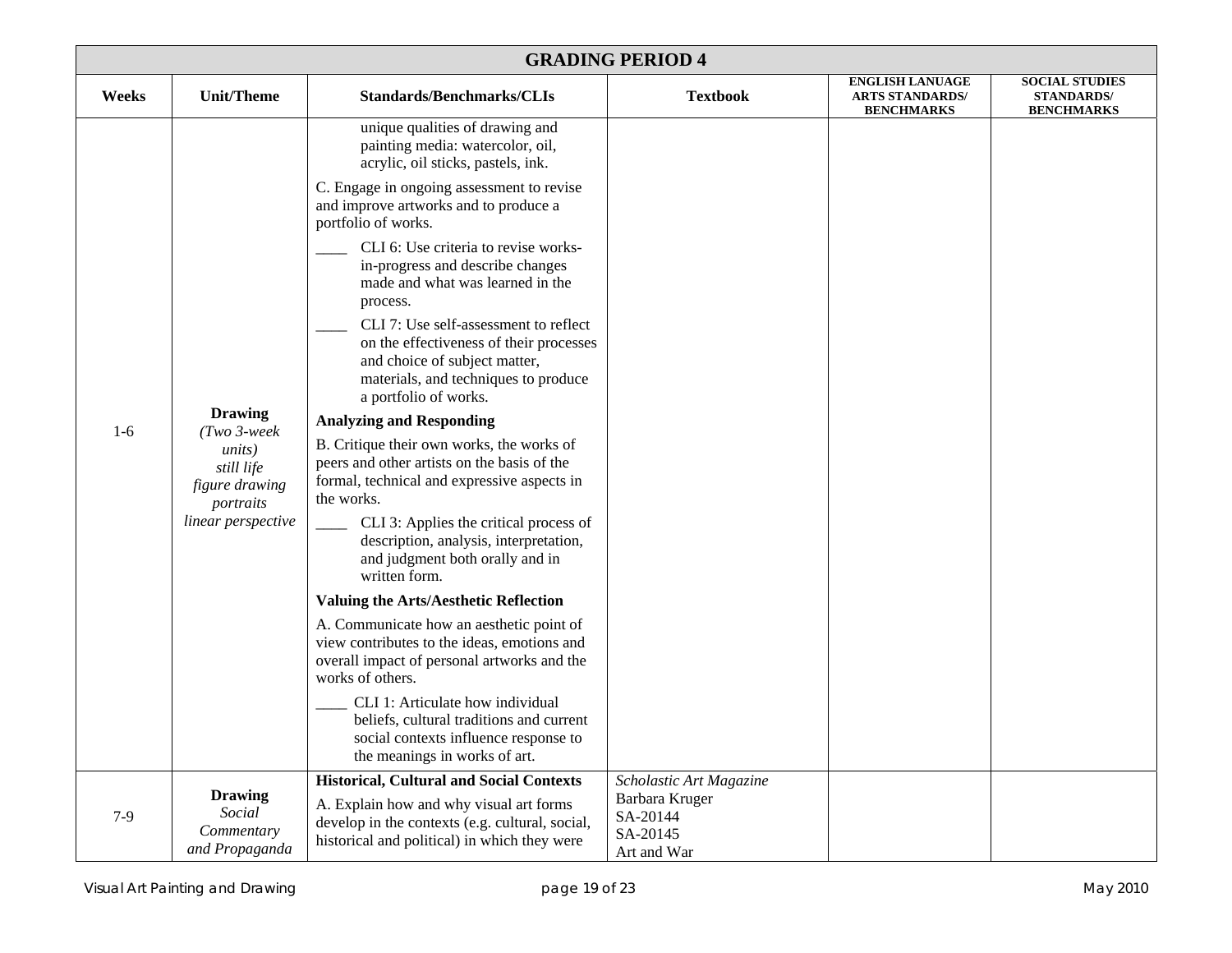|       | <b>GRADING PERIOD 4</b>                                                                                              |                                                                                                                                                                                    |                            |                                                                       |                                                                 |  |  |
|-------|----------------------------------------------------------------------------------------------------------------------|------------------------------------------------------------------------------------------------------------------------------------------------------------------------------------|----------------------------|-----------------------------------------------------------------------|-----------------------------------------------------------------|--|--|
| Weeks | <b>Unit/Theme</b>                                                                                                    | <b>Standards/Benchmarks/CLIs</b>                                                                                                                                                   | <b>Textbook</b>            | <b>ENGLISH LANUAGE</b><br><b>ARTS STANDARDS/</b><br><b>BENCHMARKS</b> | <b>SOCIAL STUDIES</b><br><b>STANDARDS/</b><br><b>BENCHMARKS</b> |  |  |
|       |                                                                                                                      | unique qualities of drawing and<br>painting media: watercolor, oil,<br>acrylic, oil sticks, pastels, ink.                                                                          |                            |                                                                       |                                                                 |  |  |
|       |                                                                                                                      | C. Engage in ongoing assessment to revise<br>and improve artworks and to produce a<br>portfolio of works.                                                                          |                            |                                                                       |                                                                 |  |  |
|       |                                                                                                                      | CLI 6: Use criteria to revise works-<br>in-progress and describe changes<br>made and what was learned in the<br>process.                                                           |                            |                                                                       |                                                                 |  |  |
|       | <b>Drawing</b><br>$(Two 3-week$<br><i>units</i> )<br>still life<br>figure drawing<br>portraits<br>linear perspective | CLI 7: Use self-assessment to reflect<br>on the effectiveness of their processes<br>and choice of subject matter,<br>materials, and techniques to produce<br>a portfolio of works. |                            |                                                                       |                                                                 |  |  |
| $1-6$ |                                                                                                                      | <b>Analyzing and Responding</b>                                                                                                                                                    |                            |                                                                       |                                                                 |  |  |
|       |                                                                                                                      | B. Critique their own works, the works of<br>peers and other artists on the basis of the<br>formal, technical and expressive aspects in<br>the works.                              |                            |                                                                       |                                                                 |  |  |
|       |                                                                                                                      | CLI 3: Applies the critical process of<br>description, analysis, interpretation,<br>and judgment both orally and in<br>written form.                                               |                            |                                                                       |                                                                 |  |  |
|       |                                                                                                                      | <b>Valuing the Arts/Aesthetic Reflection</b>                                                                                                                                       |                            |                                                                       |                                                                 |  |  |
|       |                                                                                                                      | A. Communicate how an aesthetic point of<br>view contributes to the ideas, emotions and<br>overall impact of personal artworks and the<br>works of others.                         |                            |                                                                       |                                                                 |  |  |
|       |                                                                                                                      | CLI 1: Articulate how individual<br>beliefs, cultural traditions and current<br>social contexts influence response to<br>the meanings in works of art.                             |                            |                                                                       |                                                                 |  |  |
|       | <b>Drawing</b>                                                                                                       | <b>Historical, Cultural and Social Contexts</b>                                                                                                                                    | Scholastic Art Magazine    |                                                                       |                                                                 |  |  |
| $7-9$ | Social                                                                                                               | A. Explain how and why visual art forms<br>develop in the contexts (e.g. cultural, social,                                                                                         | Barbara Kruger<br>SA-20144 |                                                                       |                                                                 |  |  |
|       | Commentary<br>and Propaganda                                                                                         | historical and political) in which they were                                                                                                                                       | SA-20145<br>Art and War    |                                                                       |                                                                 |  |  |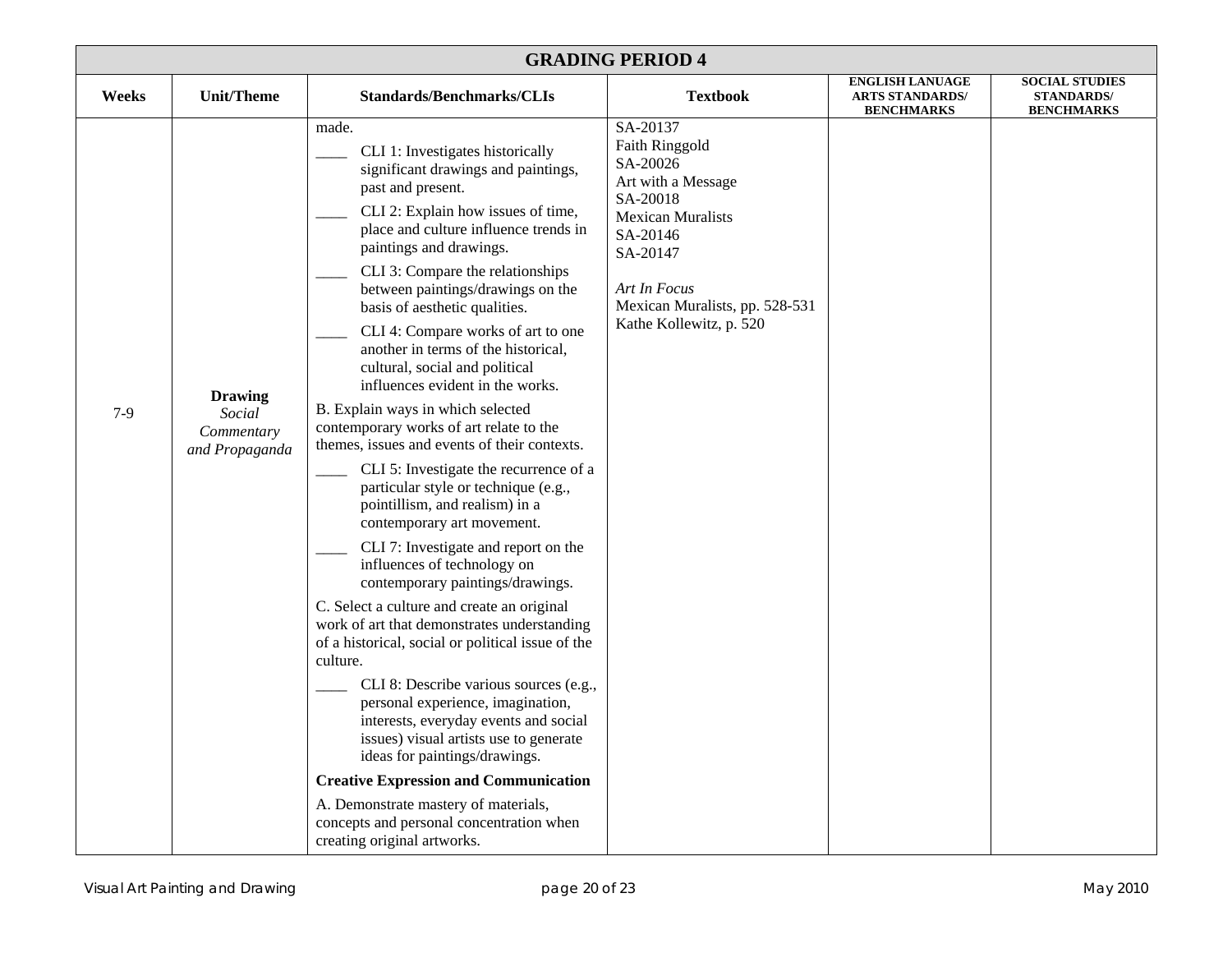| <b>GRADING PERIOD 4</b> |                                                          |                                                                                                                                                                                                                                                                                                                                                                                                                                                                                                                                                                                                                                                                                                                                                                                                                                                                                                                                                                                                                                                                                                                                                                                                                                                                                                                                                                                                               |                                                                                                                                                                                                           |                                                                       |                                                                 |  |
|-------------------------|----------------------------------------------------------|---------------------------------------------------------------------------------------------------------------------------------------------------------------------------------------------------------------------------------------------------------------------------------------------------------------------------------------------------------------------------------------------------------------------------------------------------------------------------------------------------------------------------------------------------------------------------------------------------------------------------------------------------------------------------------------------------------------------------------------------------------------------------------------------------------------------------------------------------------------------------------------------------------------------------------------------------------------------------------------------------------------------------------------------------------------------------------------------------------------------------------------------------------------------------------------------------------------------------------------------------------------------------------------------------------------------------------------------------------------------------------------------------------------|-----------------------------------------------------------------------------------------------------------------------------------------------------------------------------------------------------------|-----------------------------------------------------------------------|-----------------------------------------------------------------|--|
| Weeks                   | <b>Unit/Theme</b>                                        | <b>Standards/Benchmarks/CLIs</b>                                                                                                                                                                                                                                                                                                                                                                                                                                                                                                                                                                                                                                                                                                                                                                                                                                                                                                                                                                                                                                                                                                                                                                                                                                                                                                                                                                              | <b>Textbook</b>                                                                                                                                                                                           | <b>ENGLISH LANUAGE</b><br><b>ARTS STANDARDS/</b><br><b>BENCHMARKS</b> | <b>SOCIAL STUDIES</b><br><b>STANDARDS/</b><br><b>BENCHMARKS</b> |  |
| $7-9$                   | <b>Drawing</b><br>Social<br>Commentary<br>and Propaganda | made.<br>CLI 1: Investigates historically<br>significant drawings and paintings,<br>past and present.<br>CLI 2: Explain how issues of time,<br>place and culture influence trends in<br>paintings and drawings.<br>CLI 3: Compare the relationships<br>between paintings/drawings on the<br>basis of aesthetic qualities.<br>CLI 4: Compare works of art to one<br>another in terms of the historical,<br>cultural, social and political<br>influences evident in the works.<br>B. Explain ways in which selected<br>contemporary works of art relate to the<br>themes, issues and events of their contexts.<br>CLI 5: Investigate the recurrence of a<br>particular style or technique (e.g.,<br>pointillism, and realism) in a<br>contemporary art movement.<br>CLI 7: Investigate and report on the<br>influences of technology on<br>contemporary paintings/drawings.<br>C. Select a culture and create an original<br>work of art that demonstrates understanding<br>of a historical, social or political issue of the<br>culture.<br>CLI 8: Describe various sources (e.g.,<br>personal experience, imagination,<br>interests, everyday events and social<br>issues) visual artists use to generate<br>ideas for paintings/drawings.<br><b>Creative Expression and Communication</b><br>A. Demonstrate mastery of materials,<br>concepts and personal concentration when<br>creating original artworks. | SA-20137<br>Faith Ringgold<br>SA-20026<br>Art with a Message<br>SA-20018<br><b>Mexican Muralists</b><br>SA-20146<br>SA-20147<br>Art In Focus<br>Mexican Muralists, pp. 528-531<br>Kathe Kollewitz, p. 520 |                                                                       |                                                                 |  |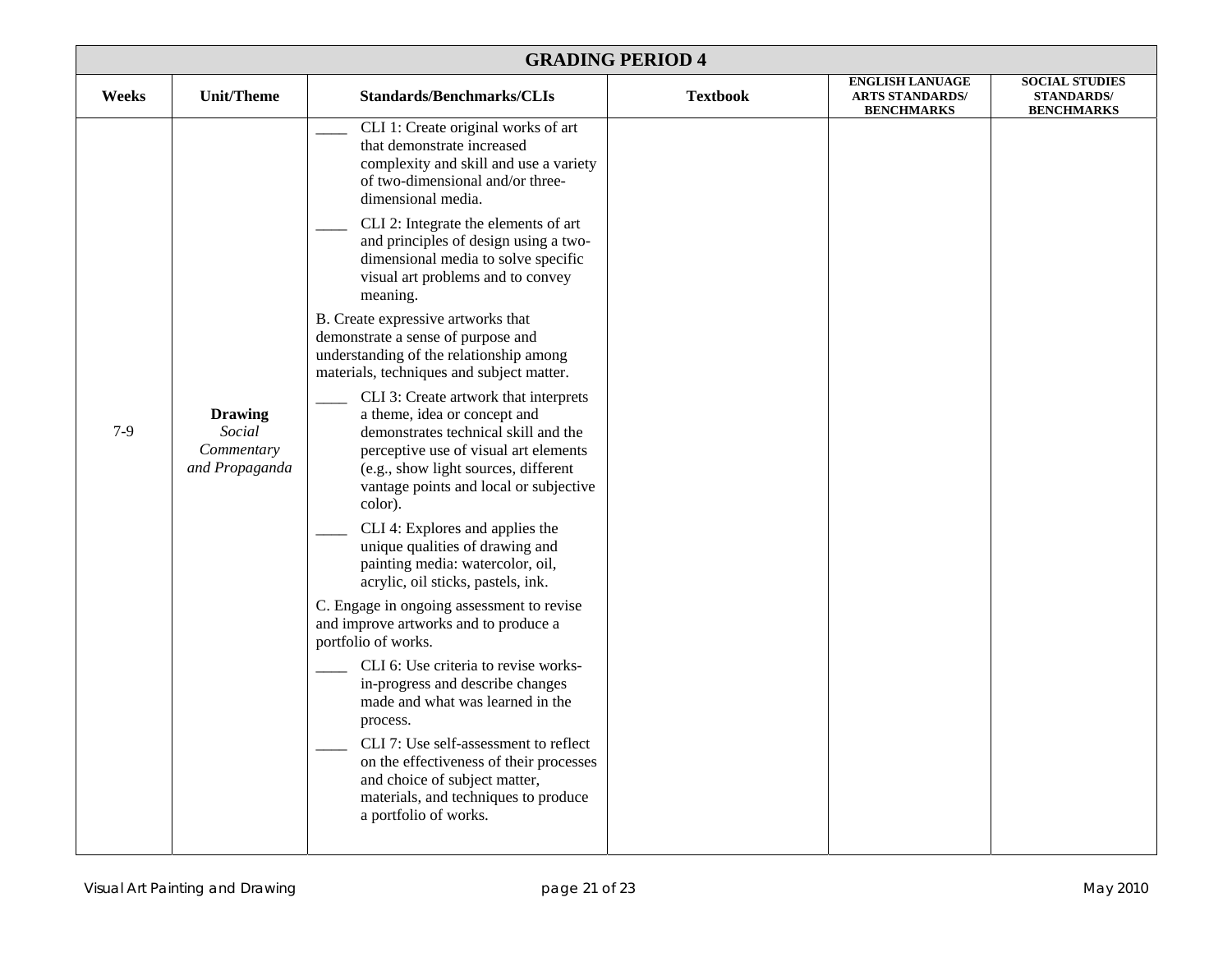| <b>GRADING PERIOD 4</b> |                                                          |                                                                                                                                                                                                                                                                                                                                                                                                                                                                                                                                                                                                                                                                                                                                                                                                                                                                                                                                                                                                                                                                                                                                                                                                                                                                                                                                                          |                 |                                                                       |                                                                 |  |
|-------------------------|----------------------------------------------------------|----------------------------------------------------------------------------------------------------------------------------------------------------------------------------------------------------------------------------------------------------------------------------------------------------------------------------------------------------------------------------------------------------------------------------------------------------------------------------------------------------------------------------------------------------------------------------------------------------------------------------------------------------------------------------------------------------------------------------------------------------------------------------------------------------------------------------------------------------------------------------------------------------------------------------------------------------------------------------------------------------------------------------------------------------------------------------------------------------------------------------------------------------------------------------------------------------------------------------------------------------------------------------------------------------------------------------------------------------------|-----------------|-----------------------------------------------------------------------|-----------------------------------------------------------------|--|
| Weeks                   | Unit/Theme                                               | <b>Standards/Benchmarks/CLIs</b>                                                                                                                                                                                                                                                                                                                                                                                                                                                                                                                                                                                                                                                                                                                                                                                                                                                                                                                                                                                                                                                                                                                                                                                                                                                                                                                         | <b>Textbook</b> | <b>ENGLISH LANUAGE</b><br><b>ARTS STANDARDS/</b><br><b>BENCHMARKS</b> | <b>SOCIAL STUDIES</b><br><b>STANDARDS/</b><br><b>BENCHMARKS</b> |  |
| $7-9$                   | <b>Drawing</b><br>Social<br>Commentary<br>and Propaganda | CLI 1: Create original works of art<br>that demonstrate increased<br>complexity and skill and use a variety<br>of two-dimensional and/or three-<br>dimensional media.<br>CLI 2: Integrate the elements of art<br>and principles of design using a two-<br>dimensional media to solve specific<br>visual art problems and to convey<br>meaning.<br>B. Create expressive artworks that<br>demonstrate a sense of purpose and<br>understanding of the relationship among<br>materials, techniques and subject matter.<br>CLI 3: Create artwork that interprets<br>a theme, idea or concept and<br>demonstrates technical skill and the<br>perceptive use of visual art elements<br>(e.g., show light sources, different<br>vantage points and local or subjective<br>color).<br>CLI 4: Explores and applies the<br>unique qualities of drawing and<br>painting media: watercolor, oil,<br>acrylic, oil sticks, pastels, ink.<br>C. Engage in ongoing assessment to revise<br>and improve artworks and to produce a<br>portfolio of works.<br>CLI 6: Use criteria to revise works-<br>in-progress and describe changes<br>made and what was learned in the<br>process.<br>CLI 7: Use self-assessment to reflect<br>on the effectiveness of their processes<br>and choice of subject matter,<br>materials, and techniques to produce<br>a portfolio of works. |                 |                                                                       |                                                                 |  |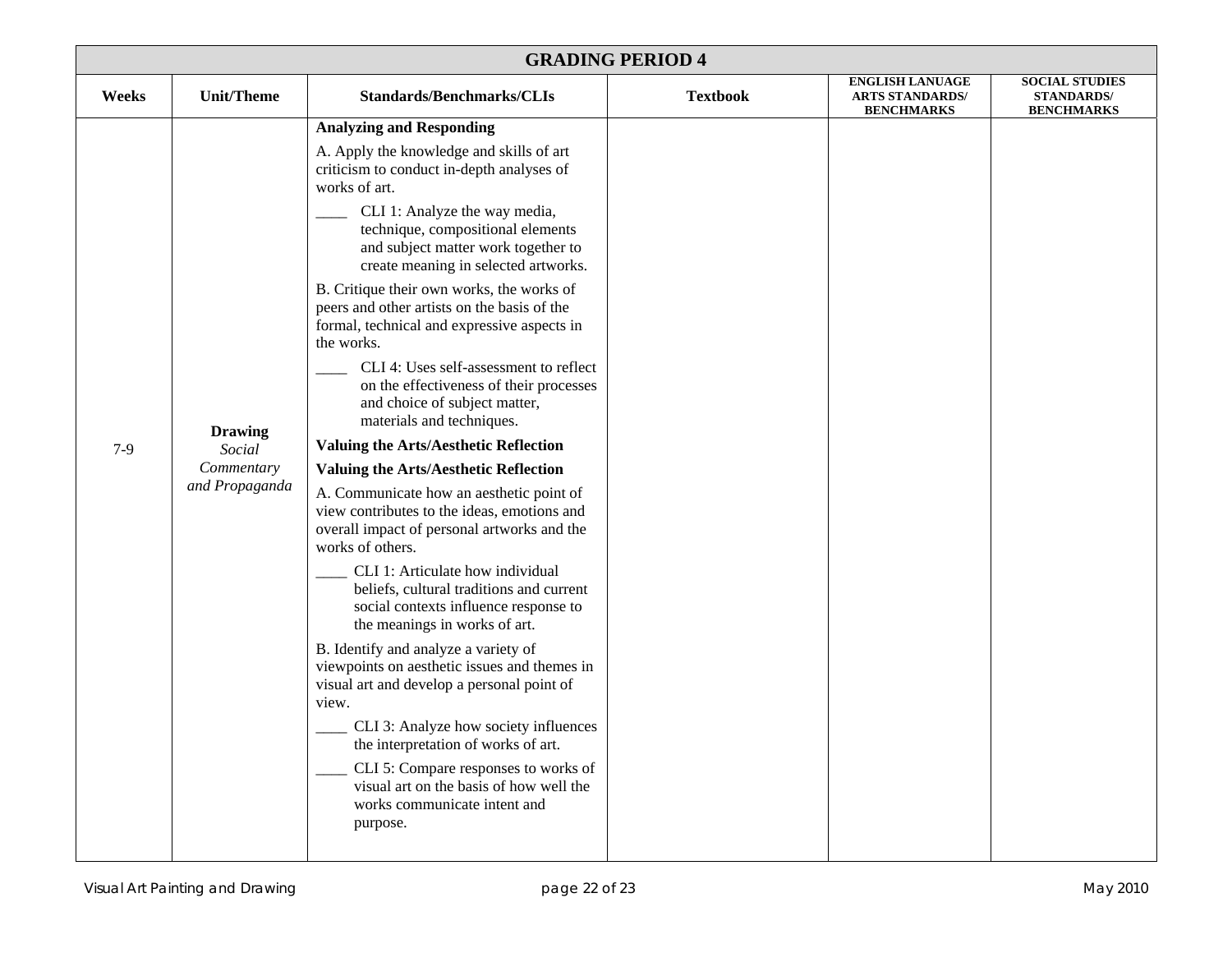| <b>GRADING PERIOD 4</b> |                                                          |                                                                                                                                                                                                                                                                                                                                                                                                                                                                                                                                                                                                                                                                                                                                                                                                                                                                                                                                                                                                                                                                                                                                                                                                                                                                                                                                                                                                  |                 |                                                  |                                            |  |  |
|-------------------------|----------------------------------------------------------|--------------------------------------------------------------------------------------------------------------------------------------------------------------------------------------------------------------------------------------------------------------------------------------------------------------------------------------------------------------------------------------------------------------------------------------------------------------------------------------------------------------------------------------------------------------------------------------------------------------------------------------------------------------------------------------------------------------------------------------------------------------------------------------------------------------------------------------------------------------------------------------------------------------------------------------------------------------------------------------------------------------------------------------------------------------------------------------------------------------------------------------------------------------------------------------------------------------------------------------------------------------------------------------------------------------------------------------------------------------------------------------------------|-----------------|--------------------------------------------------|--------------------------------------------|--|--|
| Weeks                   | <b>Unit/Theme</b>                                        | <b>Standards/Benchmarks/CLIs</b>                                                                                                                                                                                                                                                                                                                                                                                                                                                                                                                                                                                                                                                                                                                                                                                                                                                                                                                                                                                                                                                                                                                                                                                                                                                                                                                                                                 | <b>Textbook</b> | <b>ENGLISH LANUAGE</b><br><b>ARTS STANDARDS/</b> | <b>SOCIAL STUDIES</b><br><b>STANDARDS/</b> |  |  |
| $7-9$                   | <b>Drawing</b><br>Social<br>Commentary<br>and Propaganda | <b>Analyzing and Responding</b><br>A. Apply the knowledge and skills of art<br>criticism to conduct in-depth analyses of<br>works of art.<br>CLI 1: Analyze the way media,<br>technique, compositional elements<br>and subject matter work together to<br>create meaning in selected artworks.<br>B. Critique their own works, the works of<br>peers and other artists on the basis of the<br>formal, technical and expressive aspects in<br>the works.<br>CLI 4: Uses self-assessment to reflect<br>on the effectiveness of their processes<br>and choice of subject matter,<br>materials and techniques.<br><b>Valuing the Arts/Aesthetic Reflection</b><br><b>Valuing the Arts/Aesthetic Reflection</b><br>A. Communicate how an aesthetic point of<br>view contributes to the ideas, emotions and<br>overall impact of personal artworks and the<br>works of others.<br>CLI 1: Articulate how individual<br>beliefs, cultural traditions and current<br>social contexts influence response to<br>the meanings in works of art.<br>B. Identify and analyze a variety of<br>viewpoints on aesthetic issues and themes in<br>visual art and develop a personal point of<br>view.<br>CLI 3: Analyze how society influences<br>the interpretation of works of art.<br>CLI 5: Compare responses to works of<br>visual art on the basis of how well the<br>works communicate intent and<br>purpose. |                 | <b>BENCHMARKS</b>                                | <b>BENCHMARKS</b>                          |  |  |
|                         |                                                          |                                                                                                                                                                                                                                                                                                                                                                                                                                                                                                                                                                                                                                                                                                                                                                                                                                                                                                                                                                                                                                                                                                                                                                                                                                                                                                                                                                                                  |                 |                                                  |                                            |  |  |